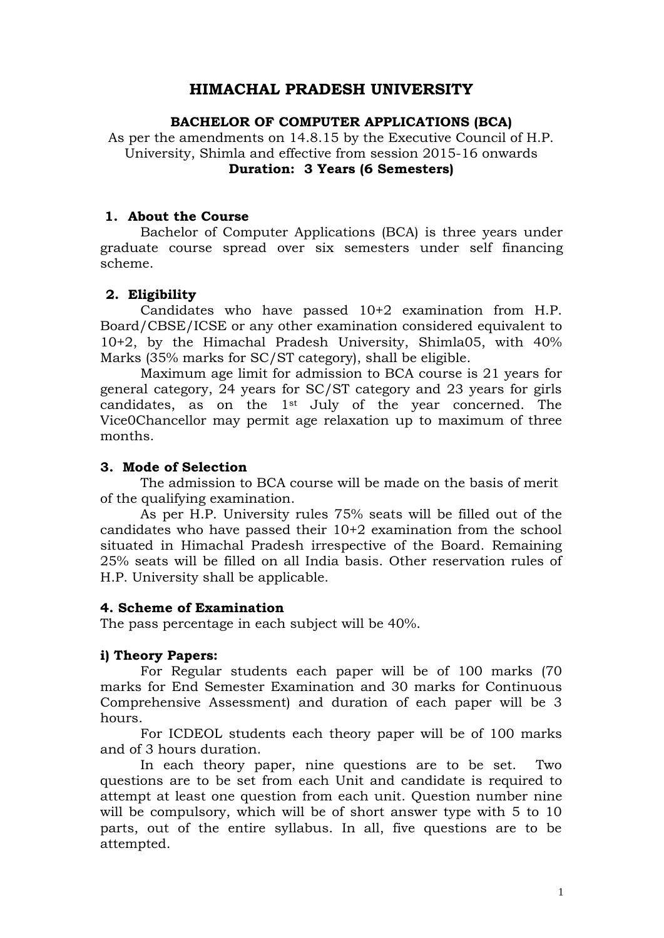### **HIMACHAL PRADESH UNIVERSITY**

### **BACHELOR OF COMPUTER APPLICATIONS (BCA)**

As per the amendments on 14.8.15 by the Executive Council of H.P. University, Shimla and effective from session 2015-16 onwards **Duration: 3 Years (6 Semesters)**

### **1. About the Course**

Bachelor of Computer Applications (BCA) is three years under graduate course spread over six semesters under self financing scheme.

### **2. Eligibility**

Candidates who have passed 10+2 examination from H.P. Board/CBSE/ICSE or any other examination considered equivalent to 10+2, by the Himachal Pradesh University, Shimla05, with 40% Marks (35% marks for SC/ST category), shall be eligible.

Maximum age limit for admission to BCA course is 21 years for general category, 24 years for SC/ST category and 23 years for girls candidates, as on the 1st July of the year concerned. The Vice0Chancellor may permit age relaxation up to maximum of three months.

### **3. Mode of Selection**

The admission to BCA course will be made on the basis of merit of the qualifying examination.

As per H.P. University rules 75% seats will be filled out of the candidates who have passed their 10+2 examination from the school situated in Himachal Pradesh irrespective of the Board. Remaining 25% seats will be filled on all India basis. Other reservation rules of H.P. University shall be applicable.

### **4. Scheme of Examination**

The pass percentage in each subject will be 40%.

### **i) Theory Papers:**

For Regular students each paper will be of 100 marks (70 marks for End Semester Examination and 30 marks for Continuous Comprehensive Assessment) and duration of each paper will be 3 hours.

For ICDEOL students each theory paper will be of 100 marks and of 3 hours duration.

In each theory paper, nine questions are to be set. Two questions are to be set from each Unit and candidate is required to attempt at least one question from each unit. Question number nine will be compulsory, which will be of short answer type with 5 to 10 parts, out of the entire syllabus. In all, five questions are to be attempted.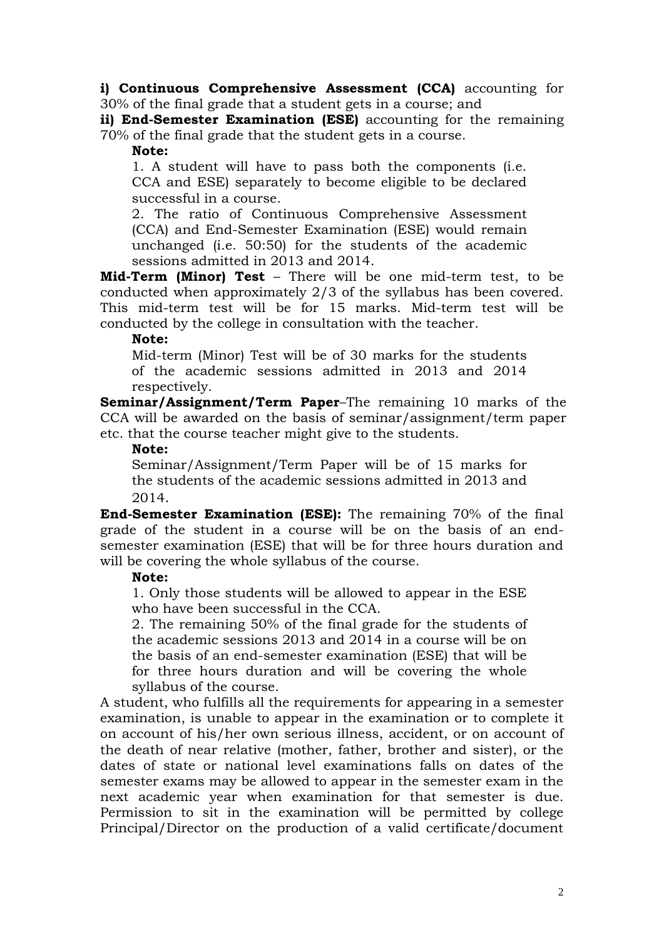**i) Continuous Comprehensive Assessment (CCA)** accounting for 30% of the final grade that a student gets in a course; and

**ii) End-Semester Examination (ESE)** accounting for the remaining 70% of the final grade that the student gets in a course.

**Note:**

1. A student will have to pass both the components (i.e. CCA and ESE) separately to become eligible to be declared successful in a course.

2. The ratio of Continuous Comprehensive Assessment (CCA) and End-Semester Examination (ESE) would remain unchanged (i.e. 50:50) for the students of the academic sessions admitted in 2013 and 2014.

**Mid-Term (Minor) Test** – There will be one mid-term test, to be conducted when approximately 2/3 of the syllabus has been covered. This mid-term test will be for 15 marks. Mid-term test will be conducted by the college in consultation with the teacher.

**Note:**

Mid-term (Minor) Test will be of 30 marks for the students of the academic sessions admitted in 2013 and 2014 respectively.

**Seminar/Assignment/Term Paper**–The remaining 10 marks of the CCA will be awarded on the basis of seminar/assignment/term paper etc. that the course teacher might give to the students.

### **Note:**

Seminar/Assignment/Term Paper will be of 15 marks for the students of the academic sessions admitted in 2013 and 2014.

**End-Semester Examination (ESE):** The remaining 70% of the final grade of the student in a course will be on the basis of an endsemester examination (ESE) that will be for three hours duration and will be covering the whole syllabus of the course.

### **Note:**

1. Only those students will be allowed to appear in the ESE who have been successful in the CCA.

2. The remaining 50% of the final grade for the students of the academic sessions 2013 and 2014 in a course will be on the basis of an end-semester examination (ESE) that will be for three hours duration and will be covering the whole syllabus of the course.

A student, who fulfills all the requirements for appearing in a semester examination, is unable to appear in the examination or to complete it on account of his/her own serious illness, accident, or on account of the death of near relative (mother, father, brother and sister), or the dates of state or national level examinations falls on dates of the semester exams may be allowed to appear in the semester exam in the next academic year when examination for that semester is due. Permission to sit in the examination will be permitted by college Principal/Director on the production of a valid certificate/document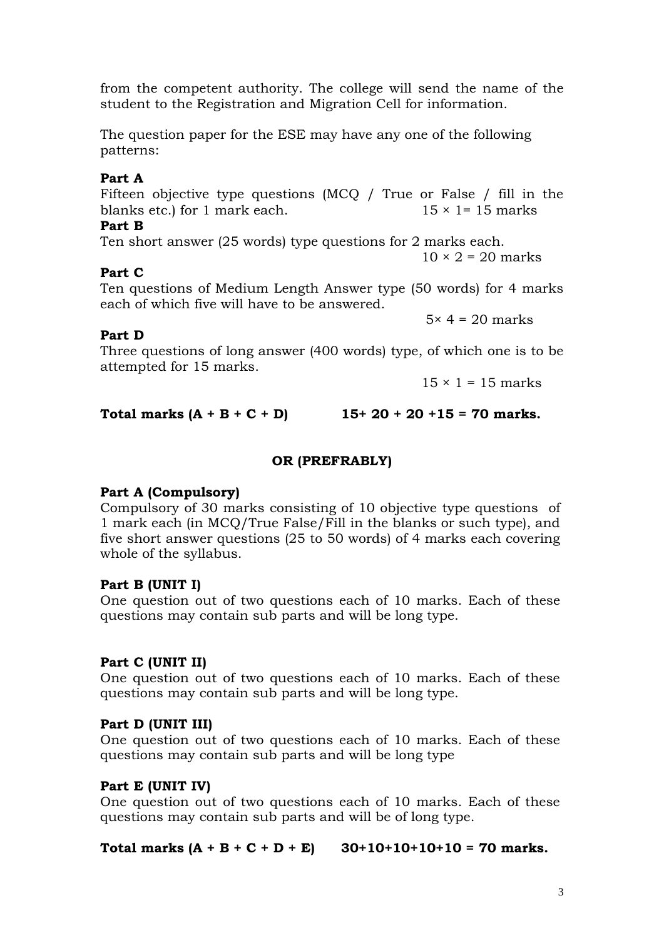from the competent authority. The college will send the name of the student to the Registration and Migration Cell for information.

The question paper for the ESE may have any one of the following patterns:

### **Part A**

Fifteen objective type questions (MCQ / True or False / fill in the blanks etc.) for 1 mark each.  $15 \times 1 = 15$  marks

### **Part B**

Ten short answer (25 words) type questions for 2 marks each.  $10 \times 2 = 20$  marks

### **Part C**

Ten questions of Medium Length Answer type (50 words) for 4 marks each of which five will have to be answered.

 $5 \times 4 = 20$  marks

### **Part D**

Three questions of long answer (400 words) type, of which one is to be attempted for 15 marks.

 $15 \times 1 = 15$  marks

Total marks  $(A + B + C + D)$  15+ 20 + 20 + 15 = 70 marks.

### **OR (PREFRABLY)**

### **Part A (Compulsory)**

Compulsory of 30 marks consisting of 10 objective type questions of 1 mark each (in MCQ/True False/Fill in the blanks or such type), and five short answer questions (25 to 50 words) of 4 marks each covering whole of the syllabus.

### **Part B (UNIT I)**

One question out of two questions each of 10 marks. Each of these questions may contain sub parts and will be long type.

### **Part C (UNIT II)**

One question out of two questions each of 10 marks. Each of these questions may contain sub parts and will be long type.

### **Part D (UNIT III)**

One question out of two questions each of 10 marks. Each of these questions may contain sub parts and will be long type

### **Part E (UNIT IV)**

One question out of two questions each of 10 marks. Each of these questions may contain sub parts and will be of long type.

### Total marks  $(A + B + C + D + E)$  30+10+10+10+10 = 70 marks.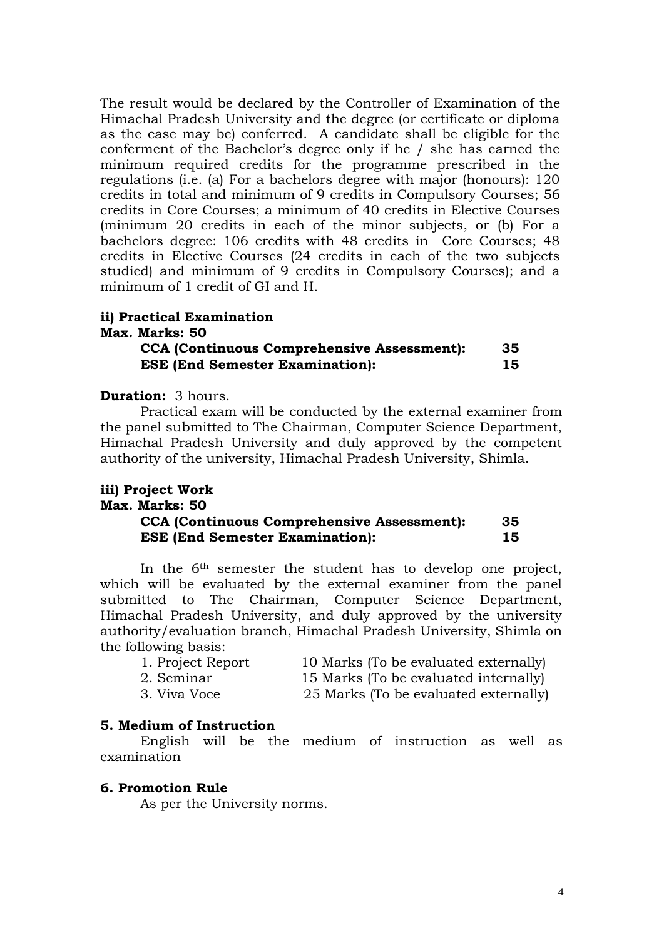The result would be declared by the Controller of Examination of the Himachal Pradesh University and the degree (or certificate or diploma as the case may be) conferred. A candidate shall be eligible for the conferment of the Bachelor's degree only if he / she has earned the minimum required credits for the programme prescribed in the regulations (i.e. (a) For a bachelors degree with major (honours): 120 credits in total and minimum of 9 credits in Compulsory Courses; 56 credits in Core Courses; a minimum of 40 credits in Elective Courses (minimum 20 credits in each of the minor subjects, or (b) For a bachelors degree: 106 credits with 48 credits in Core Courses; 48 credits in Elective Courses (24 credits in each of the two subjects studied) and minimum of 9 credits in Compulsory Courses); and a minimum of 1 credit of GI and H.

### **ii) Practical Examination**

# **Max. Marks: 50**

### **CCA (Continuous Comprehensive Assessment): 35 ESE (End Semester Examination): 15**

#### **Duration:** 3 hours.

Practical exam will be conducted by the external examiner from the panel submitted to The Chairman, Computer Science Department, Himachal Pradesh University and duly approved by the competent authority of the university, Himachal Pradesh University, Shimla.

### **iii) Project Work Max. Marks: 50 CCA (Continuous Comprehensive Assessment): 35 ESE (End Semester Examination): 15**

In the 6th semester the student has to develop one project, which will be evaluated by the external examiner from the panel submitted to The Chairman, Computer Science Department, Himachal Pradesh University, and duly approved by the university authority/evaluation branch, Himachal Pradesh University, Shimla on the following basis:

| 1. Project Report | 10 Marks (To be evaluated externally) |
|-------------------|---------------------------------------|
| 2. Seminar        | 15 Marks (To be evaluated internally) |
| 3. Viva Voce      | 25 Marks (To be evaluated externally) |

### **5. Medium of Instruction**

English will be the medium of instruction as well as examination

### **6. Promotion Rule**

As per the University norms.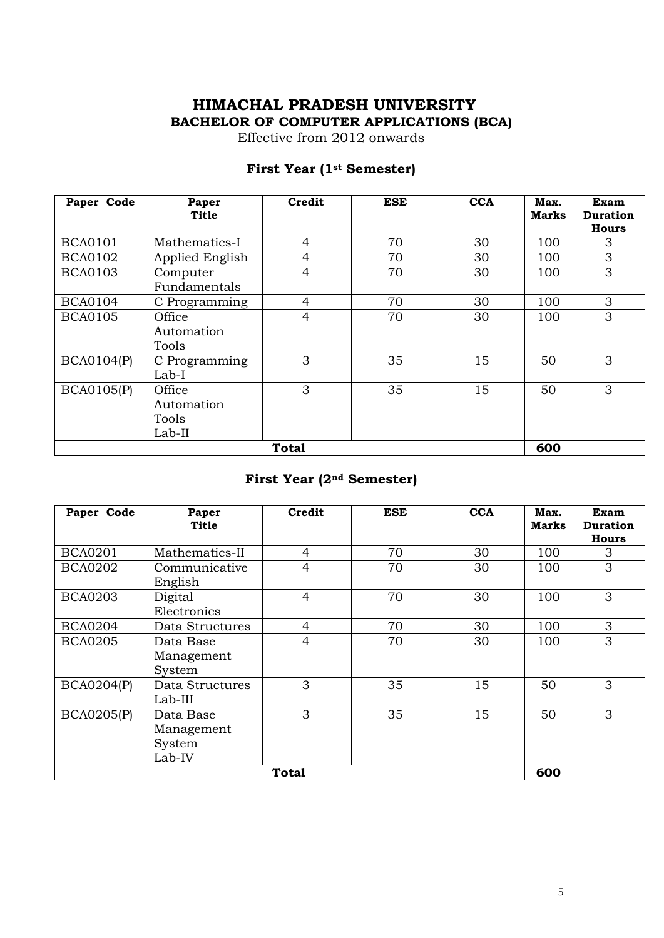### **HIMACHAL PRADESH UNIVERSITY BACHELOR OF COMPUTER APPLICATIONS (BCA)**

Effective from 2012 onwards

### **First Year (1st Semester)**

| Paper Code        | Paper<br>Title                          | Credit         | <b>ESE</b> | <b>CCA</b> | Max.<br><b>Marks</b> | <b>Exam</b><br><b>Duration</b><br>Hours |
|-------------------|-----------------------------------------|----------------|------------|------------|----------------------|-----------------------------------------|
| <b>BCA0101</b>    | Mathematics-I                           | 4              | 70         | 30         | 100                  | 3                                       |
| <b>BCA0102</b>    | Applied English                         | 4              | 70         | 30         | 100                  | 3                                       |
| <b>BCA0103</b>    | Computer<br>Fundamentals                | $\overline{4}$ | 70         | 30         | 100                  | 3                                       |
| <b>BCA0104</b>    | C Programming                           | $\overline{4}$ | 70         | 30         | 100                  | 3                                       |
| <b>BCA0105</b>    | Office<br>Automation<br>Tools           | $\overline{4}$ | 70         | 30         | 100                  | 3                                       |
| <b>BCA0104(P)</b> | C Programming<br>Lab-I                  | 3              | 35         | 15         | 50                   | 3                                       |
| <b>BCA0105(P)</b> | Office<br>Automation<br>Tools<br>Lab-II | 3              | 35         | 15         | 50                   | 3                                       |
| <b>Total</b>      |                                         |                |            |            |                      |                                         |

## **First Year (2nd Semester)**

| Paper Code        | Paper<br>Title                              | Credit         | <b>ESE</b> | <b>CCA</b> | Max.<br>Marks | Exam<br><b>Duration</b><br><b>Hours</b> |
|-------------------|---------------------------------------------|----------------|------------|------------|---------------|-----------------------------------------|
| <b>BCA0201</b>    | Mathematics-II                              | 4              | 70         | 30         | 100           | 3                                       |
| <b>BCA0202</b>    | Communicative<br>English                    | $\overline{4}$ | 70         | 30         | 100           | 3                                       |
| <b>BCA0203</b>    | Digital<br>Electronics                      | $\overline{4}$ | 70         | 30         | 100           | 3                                       |
| <b>BCA0204</b>    | Data Structures                             | 4              | 70         | 30         | 100           | 3                                       |
| <b>BCA0205</b>    | Data Base<br>Management<br>System           | 4              | 70         | 30         | 100           | 3                                       |
| <b>BCA0204(P)</b> | Data Structures<br>Lab-III                  | 3              | 35         | 15         | 50            | 3                                       |
| <b>BCA0205(P)</b> | Data Base<br>Management<br>System<br>Lab-IV | 3              | 35         | 15         | 50            | 3                                       |
|                   |                                             | <b>Total</b>   |            |            | 600           |                                         |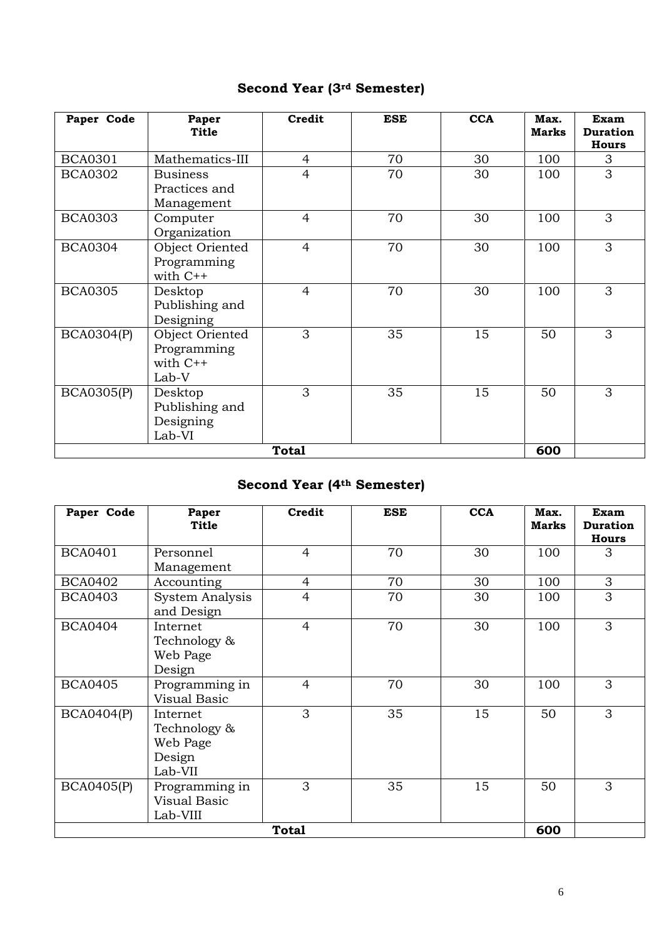# **Second Year (3rd Semester)**

| Paper Code        | Paper<br><b>Title</b>                                 | Credit         | <b>ESE</b> | <b>CCA</b> | Max.<br><b>Marks</b> | Exam<br><b>Duration</b><br><b>Hours</b> |
|-------------------|-------------------------------------------------------|----------------|------------|------------|----------------------|-----------------------------------------|
| <b>BCA0301</b>    | Mathematics-III                                       | 4              | 70         | 30         | 100                  | 3                                       |
| <b>BCA0302</b>    | <b>Business</b><br>Practices and<br>Management        | $\overline{4}$ | 70         | 30         | 100                  | 3                                       |
| <b>BCA0303</b>    | Computer<br>Organization                              | $\overline{4}$ | 70         | 30         | 100                  | 3                                       |
| <b>BCA0304</b>    | Object Oriented<br>Programming<br>with $C++$          | $\overline{4}$ | 70         | 30         | 100                  | 3                                       |
| <b>BCA0305</b>    | Desktop<br>Publishing and<br>Designing                | $\overline{4}$ | 70         | 30         | 100                  | 3                                       |
| <b>BCA0304(P)</b> | Object Oriented<br>Programming<br>with $C++$<br>Lab-V | 3              | 35         | 15         | 50                   | 3                                       |
| <b>BCA0305(P)</b> | Desktop<br>Publishing and<br>Designing<br>Lab-VI      | 3              | 35         | 15         | 50                   | 3                                       |
| <b>Total</b>      |                                                       |                |            |            |                      |                                         |

# **Second Year (4th Semester)**

| Paper Code        | Paper<br>Title                                            | Credit         | <b>ESE</b> | <b>CCA</b> | Max.<br>Marks | Exam<br><b>Duration</b><br><b>Hours</b> |
|-------------------|-----------------------------------------------------------|----------------|------------|------------|---------------|-----------------------------------------|
| <b>BCA0401</b>    | Personnel<br>Management                                   | 4              | 70         | 30         | 100           | 3                                       |
| <b>BCA0402</b>    | Accounting                                                | 4              | 70         | 30         | 100           | 3                                       |
| <b>BCA0403</b>    | System Analysis<br>and Design                             | $\overline{4}$ | 70         | 30         | 100           | 3                                       |
| <b>BCA0404</b>    | Internet<br>Technology &<br>Web Page<br>Design            | $\overline{4}$ | 70         | 30         | 100           | 3                                       |
| <b>BCA0405</b>    | Programming in<br><b>Visual Basic</b>                     | $\overline{4}$ | 70         | 30         | 100           | 3                                       |
| <b>BCA0404(P)</b> | Internet<br>Technology &<br>Web Page<br>Design<br>Lab-VII | 3              | 35         | 15         | 50            | 3                                       |
| <b>BCA0405(P)</b> | Programming in<br><b>Visual Basic</b><br>Lab-VIII         | 3              | 35         | 15         | 50            | 3                                       |
| <b>Total</b>      |                                                           |                |            |            |               |                                         |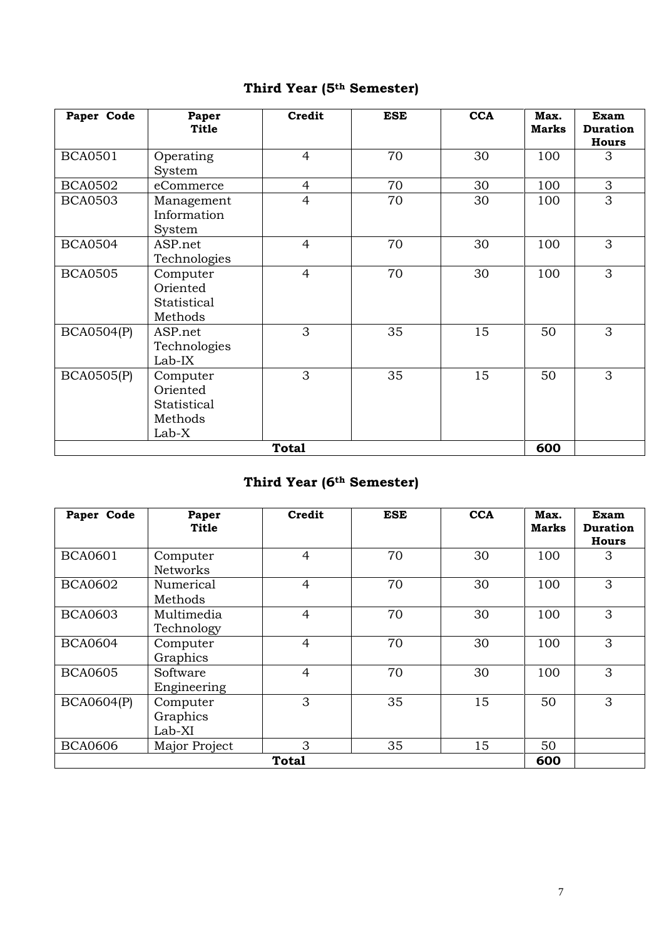# **Third Year (5th Semester)**

| Paper Code        | Paper<br><b>Title</b>                                   | Credit         | <b>ESE</b> | <b>CCA</b> | Max.<br><b>Marks</b> | <b>Exam</b><br><b>Duration</b><br><b>Hours</b> |
|-------------------|---------------------------------------------------------|----------------|------------|------------|----------------------|------------------------------------------------|
| <b>BCA0501</b>    | Operating<br>System                                     | $\overline{4}$ | 70         | 30         | 100                  | 3                                              |
| <b>BCA0502</b>    | eCommerce                                               | 4              | 70         | 30         | 100                  | 3                                              |
| <b>BCA0503</b>    | Management<br>Information<br>System                     | $\overline{4}$ | 70         | 30         | 100                  | 3                                              |
| <b>BCA0504</b>    | ASP.net<br>Technologies                                 | $\overline{4}$ | 70         | 30         | 100                  | 3                                              |
| <b>BCA0505</b>    | Computer<br>Oriented<br>Statistical<br>Methods          | $\overline{4}$ | 70         | 30         | 100                  | 3                                              |
| <b>BCA0504(P)</b> | ASP.net<br>Technologies<br>$Lab-IX$                     | 3              | 35         | 15         | 50                   | 3                                              |
| <b>BCA0505(P)</b> | Computer<br>Oriented<br>Statistical<br>Methods<br>Lab-X | 3              | 35         | 15         | 50                   | 3                                              |
| <b>Total</b>      |                                                         |                |            |            |                      |                                                |

# **Third Year (6th Semester)**

| Paper Code        | Paper<br><b>Title</b>          | Credit         | <b>ESE</b> | <b>CCA</b> | Max.<br>Marks | Exam<br><b>Duration</b><br><b>Hours</b> |
|-------------------|--------------------------------|----------------|------------|------------|---------------|-----------------------------------------|
| <b>BCA0601</b>    | Computer<br><b>Networks</b>    | $\overline{4}$ | 70         | 30         | 100           | 3                                       |
| <b>BCA0602</b>    | Numerical<br>Methods           | $\overline{4}$ | 70         | 30         | 100           | 3                                       |
| <b>BCA0603</b>    | Multimedia<br>Technology       | $\overline{4}$ | 70         | 30         | 100           | 3                                       |
| <b>BCA0604</b>    | Computer<br>Graphics           | $\overline{4}$ | 70         | 30         | 100           | 3                                       |
| <b>BCA0605</b>    | Software<br>Engineering        | $\overline{4}$ | 70         | 30         | 100           | 3                                       |
| <b>BCA0604(P)</b> | Computer<br>Graphics<br>Lab-XI | 3              | 35         | 15         | 50            | 3                                       |
| <b>BCA0606</b>    | Major Project                  | 3              | 35         | 15         | 50            |                                         |
| Total             |                                |                |            |            |               |                                         |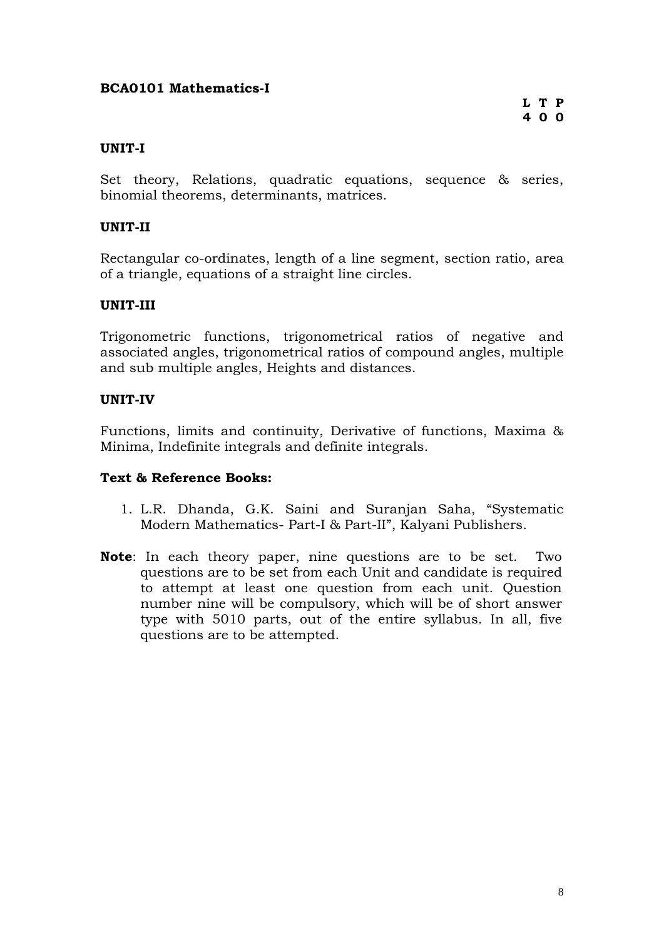### **BCA0101 Mathematics-I**

### **UNIT-I**

Set theory, Relations, quadratic equations, sequence & series, binomial theorems, determinants, matrices.

### **UNIT-II**

Rectangular co-ordinates, length of a line segment, section ratio, area of a triangle, equations of a straight line circles.

### **UNIT-III**

Trigonometric functions, trigonometrical ratios of negative and associated angles, trigonometrical ratios of compound angles, multiple and sub multiple angles, Heights and distances.

### **UNIT-IV**

Functions, limits and continuity, Derivative of functions, Maxima & Minima, Indefinite integrals and definite integrals.

- 1. L.R. Dhanda, G.K. Saini and Suranjan Saha, "Systematic Modern Mathematics- Part-I & Part-II", Kalyani Publishers.
- **Note**: In each theory paper, nine questions are to be set. Two questions are to be set from each Unit and candidate is required to attempt at least one question from each unit. Question number nine will be compulsory, which will be of short answer type with 5010 parts, out of the entire syllabus. In all, five questions are to be attempted.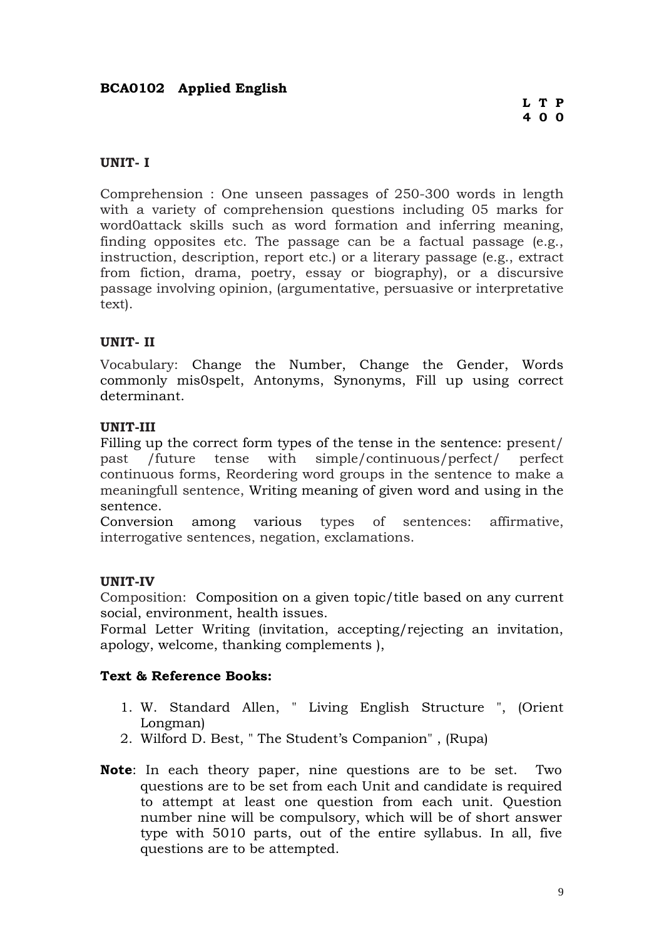### **BCA0102 Applied English**

### **UNIT- I**

Comprehension : One unseen passages of 250-300 words in length with a variety of comprehension questions including 05 marks for word0attack skills such as word formation and inferring meaning, finding opposites etc. The passage can be a factual passage (e.g., instruction, description, report etc.) or a literary passage (e.g., extract from fiction, drama, poetry, essay or biography), or a discursive passage involving opinion, (argumentative, persuasive or interpretative text).

### **UNIT- II**

Vocabulary: Change the Number, Change the Gender, Words commonly mis0spelt, Antonyms, Synonyms, Fill up using correct determinant.

### **UNIT-III**

Filling up the correct form types of the tense in the sentence: present/ past /future tense with simple/continuous/perfect/ perfect continuous forms, Reordering word groups in the sentence to make a meaningfull sentence, Writing meaning of given word and using in the sentence.

Conversion among various types of sentences: affirmative, interrogative sentences, negation, exclamations.

### **UNIT-IV**

Composition:Composition on a given topic/title based on any current social, environment, health issues.

Formal Letter Writing (invitation, accepting/rejecting an invitation, apology, welcome, thanking complements ),

- 1. W. Standard Allen, " Living English Structure ", (Orient Longman)
- 2. Wilford D. Best, " The Student's Companion" , (Rupa)
- **Note**: In each theory paper, nine questions are to be set. Two questions are to be set from each Unit and candidate is required to attempt at least one question from each unit. Question number nine will be compulsory, which will be of short answer type with 5010 parts, out of the entire syllabus. In all, five questions are to be attempted.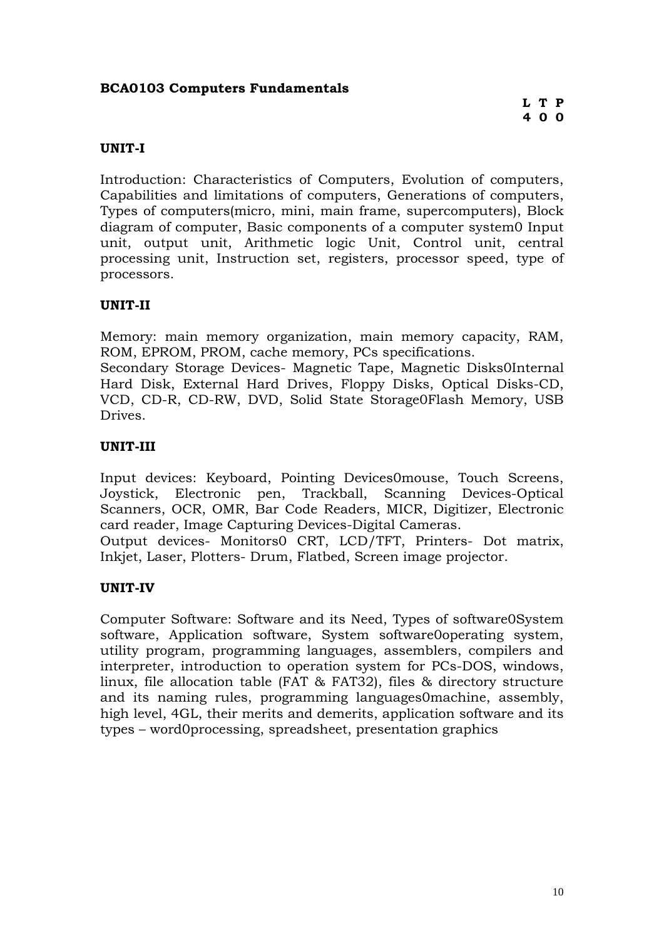### **BCA0103 Computers Fundamentals**

### **UNIT-I**

Introduction: Characteristics of Computers, Evolution of computers, Capabilities and limitations of computers, Generations of computers, Types of computers(micro, mini, main frame, supercomputers), Block diagram of computer, Basic components of a computer system0 Input unit, output unit, Arithmetic logic Unit, Control unit, central processing unit, Instruction set, registers, processor speed, type of processors.

### **UNIT-II**

Memory: main memory organization, main memory capacity, RAM, ROM, EPROM, PROM, cache memory, PCs specifications.

Secondary Storage Devices- Magnetic Tape, Magnetic Disks[0Internal](http://www.coursesmart.com/0077334337/ch208)  [Hard Disk,](http://www.coursesmart.com/0077334337/ch208) External Hard Drives, Floppy Disks, Optical Disks-CD, VCD, CD-R, CD-RW, DVD, Solid State Storage0Flash Memory, USB Drives.

### **UNIT-III**

Input devices: Keyboard, Pointing Devices0mouse, Touch Screens, Joystick, Electronic pen, Trackball, Scanning Devices-Optical Scanners, OCR, OMR, Bar Code Readers, MICR, Digitizer, Electronic card reader, Image Capturing Devices[-Digital Cameras.](http://www.coursesmart.com/0077334337/186) Output devices- Monitors0 CRT, LCD/TFT, Printers- Dot matrix,

Inkjet, Laser, Plotters- Drum, Flatbed, Screen image projector.

### **UNIT-IV**

Computer Software: Software and its Need, Types of software0System software, Application software, System software0operating system, utility program, programming languages, assemblers, compilers and interpreter, introduction to operation system for PCs-DOS, windows, linux, file allocation table (FAT & FAT32), files & directory structure and its naming rules, programming languages0machine, assembly, high level, 4GL, their merits and demerits, application software and its types – word0processing, spreadsheet, presentation graphics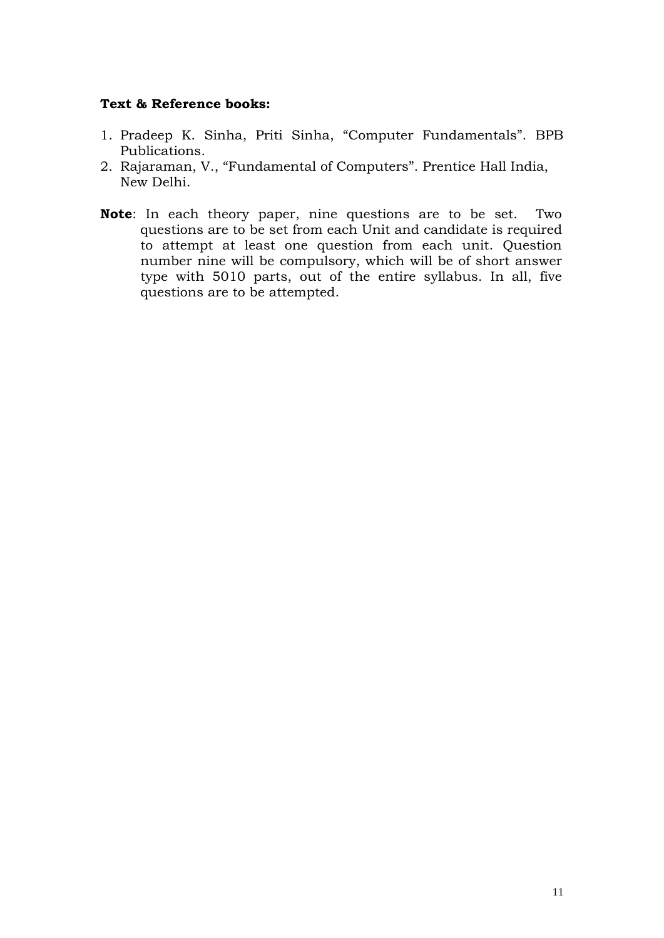- 1. Pradeep K. Sinha, Priti Sinha, "Computer Fundamentals". BPB Publications.
- 2. Rajaraman, V., "Fundamental of Computers". Prentice Hall India, New Delhi.
- **Note**: In each theory paper, nine questions are to be set. Two questions are to be set from each Unit and candidate is required to attempt at least one question from each unit. Question number nine will be compulsory, which will be of short answer type with 5010 parts, out of the entire syllabus. In all, five questions are to be attempted.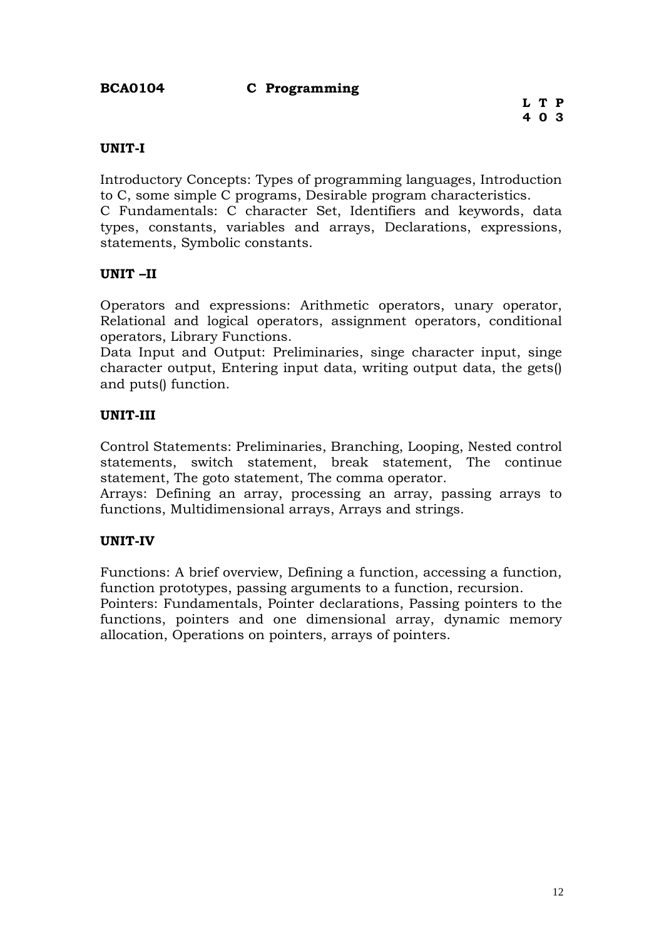### **BCA0104 C Programming**

### **UNIT-I**

Introductory Concepts: Types of programming languages, Introduction to C, some simple C programs, Desirable program characteristics.

C Fundamentals: C character Set, Identifiers and keywords, data types, constants, variables and arrays, Declarations, expressions, statements, Symbolic constants.

### **UNIT –II**

Operators and expressions: Arithmetic operators, unary operator, Relational and logical operators, assignment operators, conditional operators, Library Functions.

Data Input and Output: Preliminaries, singe character input, singe character output, Entering input data, writing output data, the gets() and puts() function.

### **UNIT-III**

Control Statements: Preliminaries, Branching, Looping, Nested control statements, switch statement, break statement, The continue statement, The goto statement, The comma operator.

Arrays: Defining an array, processing an array, passing arrays to functions, Multidimensional arrays, Arrays and strings.

### **UNIT-IV**

Functions: A brief overview, Defining a function, accessing a function, function prototypes, passing arguments to a function, recursion.

Pointers: Fundamentals, Pointer declarations, Passing pointers to the functions, pointers and one dimensional array, dynamic memory allocation, Operations on pointers, arrays of pointers.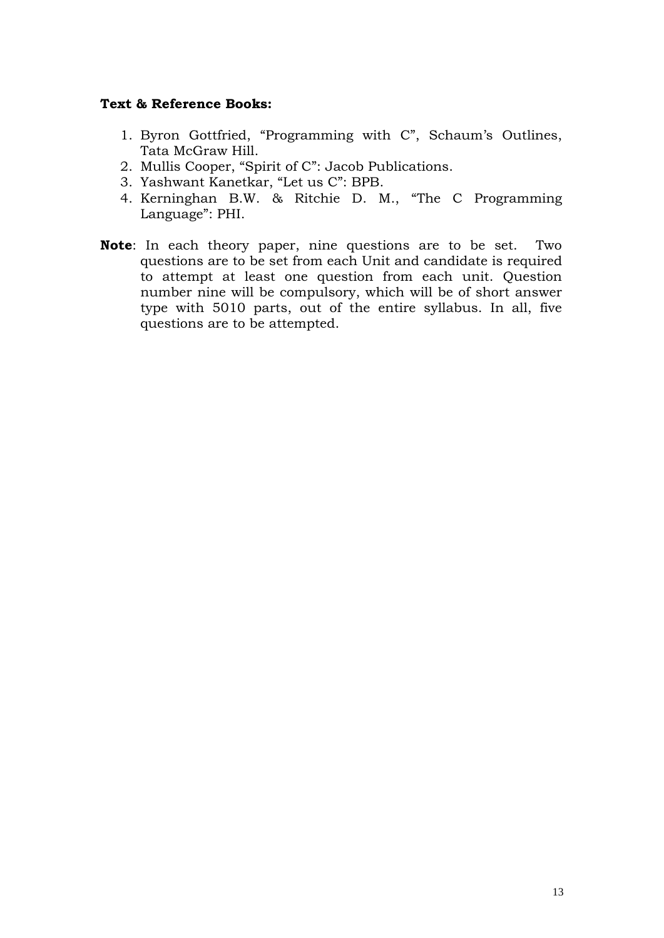- 1. Byron Gottfried, "Programming with C", Schaum's Outlines, Tata McGraw Hill.
- 2. Mullis Cooper, "Spirit of C": Jacob Publications.
- 3. Yashwant Kanetkar, "Let us C": BPB.
- 4. Kerninghan B.W. & Ritchie D. M., "The C Programming Language": PHI.
- **Note**: In each theory paper, nine questions are to be set. Two questions are to be set from each Unit and candidate is required to attempt at least one question from each unit. Question number nine will be compulsory, which will be of short answer type with 5010 parts, out of the entire syllabus. In all, five questions are to be attempted.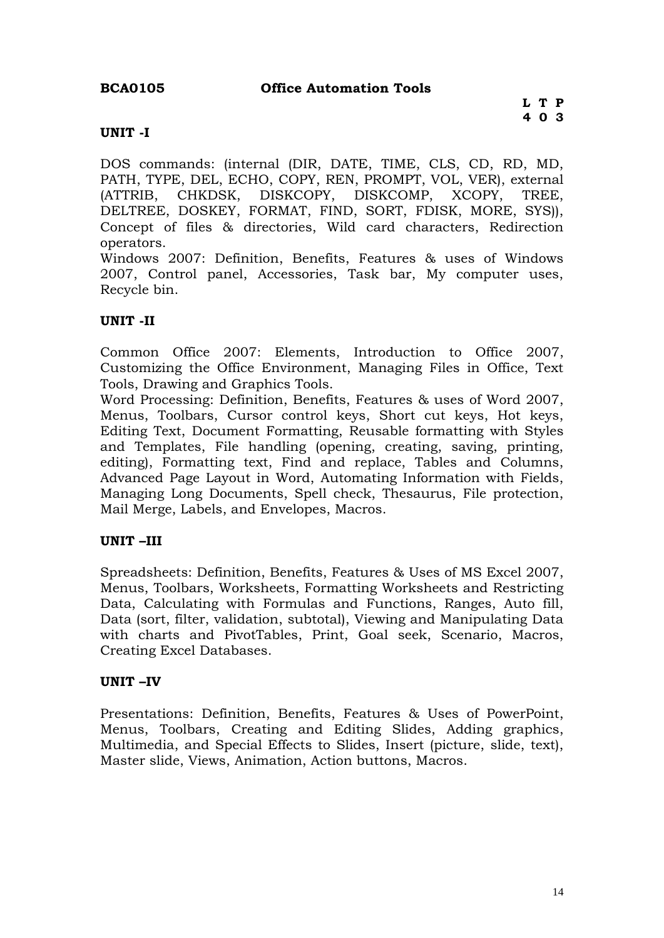### **UNIT -I**

DOS commands: (internal (DIR, DATE, TIME, CLS, CD, RD, MD, PATH, TYPE, DEL, ECHO, COPY, REN, PROMPT, VOL, VER), external (ATTRIB, CHKDSK, DISKCOPY, DISKCOMP, XCOPY, TREE, DELTREE, DOSKEY, FORMAT, FIND, SORT, FDISK, MORE, SYS)), Concept of files & directories, Wild card characters, Redirection operators.

Windows 2007: Definition, Benefits, Features & uses of Windows 2007, Control panel, Accessories, Task bar, My computer uses, Recycle bin.

### **UNIT -II**

Common Office 2007: Elements, Introduction to Office 2007, Customizing the Office Environment, Managing Files in Office, Text Tools, Drawing and Graphics Tools.

Word Processing: Definition, Benefits, Features & uses of Word 2007, Menus, Toolbars, Cursor control keys, Short cut keys, Hot keys, Editing Text, Document Formatting, Reusable formatting with Styles and Templates, File handling (opening, creating, saving, printing, editing), Formatting text, Find and replace, Tables and Columns, Advanced Page Layout in Word, Automating Information with Fields, Managing Long Documents, Spell check, Thesaurus, File protection, Mail Merge, Labels, and Envelopes, Macros.

### **UNIT –III**

Spreadsheets: Definition, Benefits, Features & Uses of MS Excel 2007, Menus, Toolbars, Worksheets, Formatting Worksheets and Restricting Data, Calculating with Formulas and Functions, Ranges, Auto fill, Data (sort, filter, validation, subtotal), Viewing and Manipulating Data with charts and PivotTables, Print, Goal seek, Scenario, Macros, Creating Excel Databases.

### **UNIT –IV**

Presentations: Definition, Benefits, Features & Uses of PowerPoint, Menus, Toolbars, Creating and Editing Slides, Adding graphics, Multimedia, and Special Effects to Slides, Insert (picture, slide, text), Master slide, Views, Animation, Action buttons, Macros.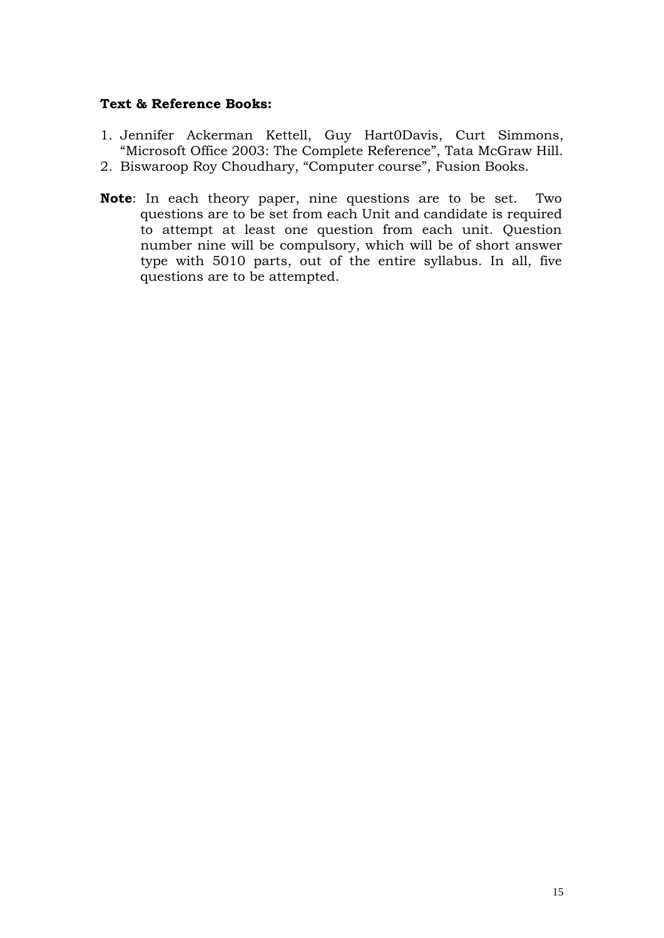- 1. Jennifer Ackerman Kettell, Guy Hart0Davis, Curt Simmons, "Microsoft Office 2003: The Complete Reference", Tata McGraw Hill.
- 2. Biswaroop Roy Choudhary, "Computer course", Fusion Books.
- **Note**: In each theory paper, nine questions are to be set. Two questions are to be set from each Unit and candidate is required to attempt at least one question from each unit. Question number nine will be compulsory, which will be of short answer type with 5010 parts, out of the entire syllabus. In all, five questions are to be attempted.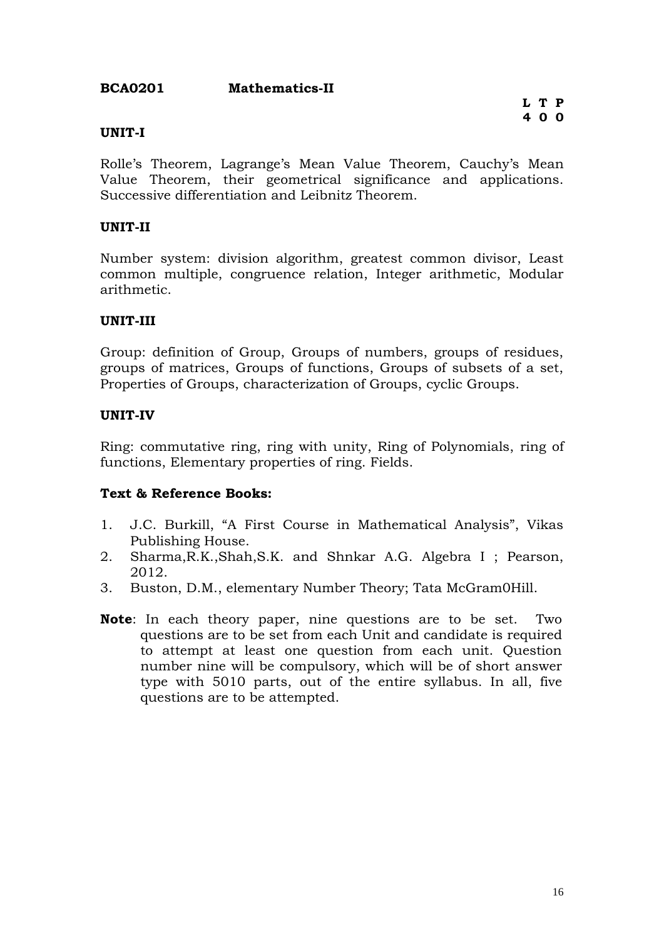### **BCA0201 Mathematics-II**

### **UNIT-I**

Rolle's Theorem, Lagrange's Mean Value Theorem, Cauchy's Mean Value Theorem, their geometrical significance and applications. Successive differentiation and Leibnitz Theorem.

### **UNIT-II**

Number system: division algorithm, greatest common divisor, Least common multiple, congruence relation, Integer arithmetic, Modular arithmetic.

### **UNIT-III**

Group: definition of Group, Groups of numbers, groups of residues, groups of matrices, Groups of functions, Groups of subsets of a set, Properties of Groups, characterization of Groups, cyclic Groups.

### **UNIT-IV**

Ring: commutative ring, ring with unity, Ring of Polynomials, ring of functions, Elementary properties of ring. Fields.

- 1. J.C. Burkill, "A First Course in Mathematical Analysis", Vikas Publishing House.
- 2. Sharma,R.K.,Shah,S.K. and Shnkar A.G. Algebra I ; Pearson, 2012.
- 3. Buston, D.M., elementary Number Theory; Tata McGram0Hill.
- **Note**: In each theory paper, nine questions are to be set. Two questions are to be set from each Unit and candidate is required to attempt at least one question from each unit. Question number nine will be compulsory, which will be of short answer type with 5010 parts, out of the entire syllabus. In all, five questions are to be attempted.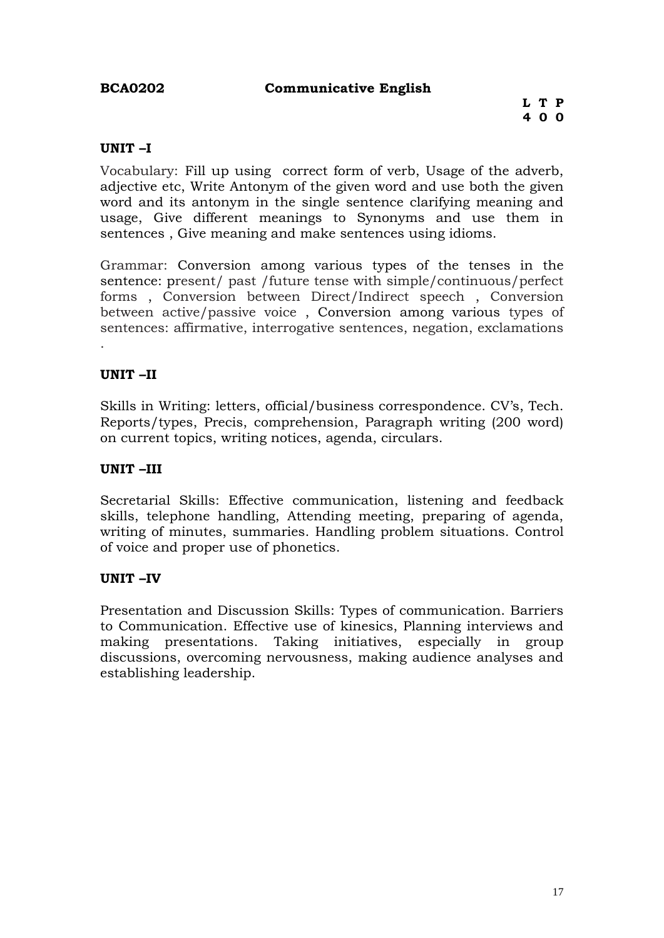### **BCA0202 Communicative English**

### **UNIT –I**

Vocabulary: Fill up using correct form of verb, Usage of the adverb, adjective etc, Write Antonym of the given word and use both the given word and its antonym in the single sentence clarifying meaning and usage, Give different meanings to Synonyms and use them in sentences , Give meaning and make sentences using idioms.

Grammar: Conversion among various types of the tenses in the sentence: present/ past /future tense with simple/continuous/perfect forms , Conversion between Direct/Indirect speech , Conversion between active/passive voice , Conversion among various types of sentences: affirmative, interrogative sentences, negation, exclamations

### **UNIT –II**

.

Skills in Writing: letters, official/business correspondence. CV's, Tech. Reports/types, Precis, comprehension, Paragraph writing (200 word) on current topics, writing notices, agenda, circulars.

### **UNIT –III**

Secretarial Skills: Effective communication, listening and feedback skills, telephone handling, Attending meeting, preparing of agenda, writing of minutes, summaries. Handling problem situations. Control of voice and proper use of phonetics.

### **UNIT –IV**

Presentation and Discussion Skills: Types of communication. Barriers to Communication. Effective use of kinesics, Planning interviews and making presentations. Taking initiatives, especially in group discussions, overcoming nervousness, making audience analyses and establishing leadership.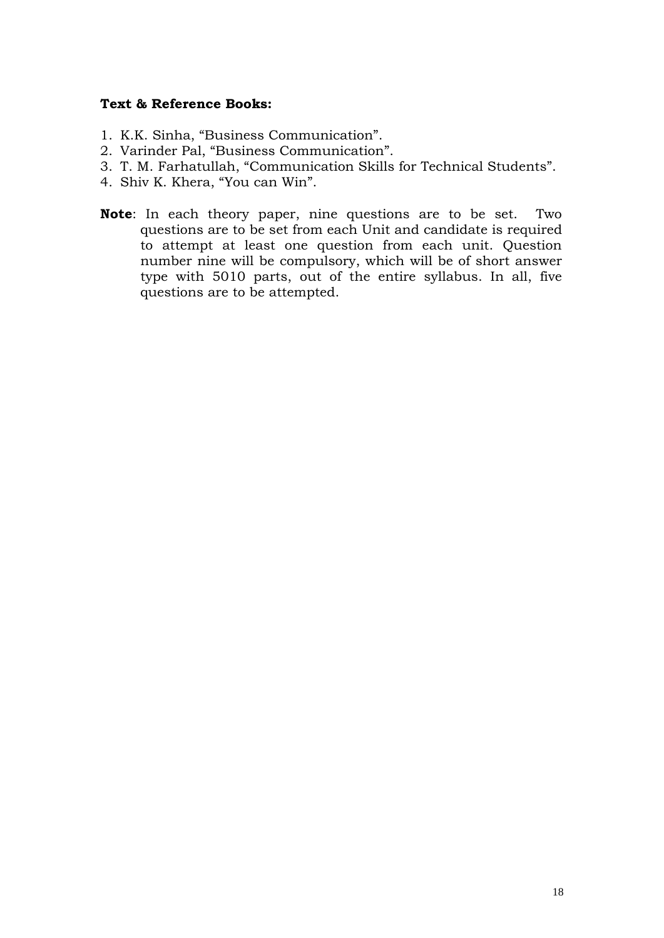- 1. K.K. Sinha, "Business Communication".
- 2. Varinder Pal, "Business Communication".
- 3. T. M. Farhatullah, "Communication Skills for Technical Students".
- 4. Shiv K. Khera, "You can Win".
- **Note**: In each theory paper, nine questions are to be set. Two questions are to be set from each Unit and candidate is required to attempt at least one question from each unit. Question number nine will be compulsory, which will be of short answer type with 5010 parts, out of the entire syllabus. In all, five questions are to be attempted.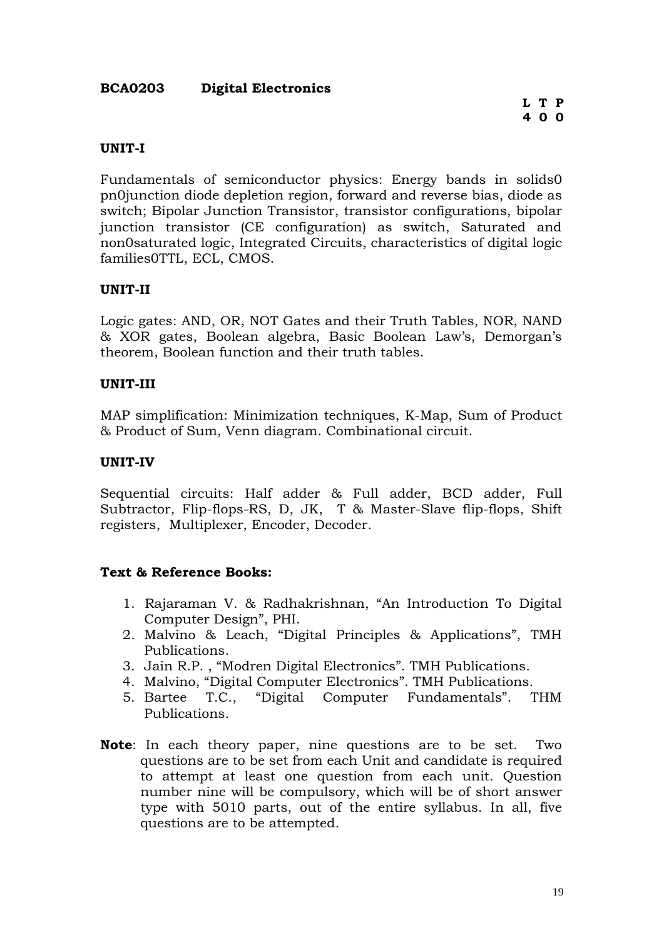### **BCA0203 Digital Electronics**

### **UNIT-I**

Fundamentals of semiconductor physics: Energy bands in solids0 pn0junction diode depletion region, forward and reverse bias, diode as switch; Bipolar Junction Transistor, transistor configurations, bipolar junction transistor (CE configuration) as switch, Saturated and non0saturated logic, Integrated Circuits, characteristics of digital logic families0TTL, ECL, CMOS.

### **UNIT-II**

Logic gates: AND, OR, NOT Gates and their Truth Tables, NOR, NAND & XOR gates, Boolean algebra, Basic Boolean Law's, Demorgan's theorem, Boolean function and their truth tables.

### **UNIT-III**

MAP simplification: Minimization techniques, K-Map, Sum of Product & Product of Sum, Venn diagram. Combinational circuit.

#### **UNIT-IV**

Sequential circuits: Half adder & Full adder, BCD adder, Full Subtractor, Flip-flops-RS, D, JK, T & Master-Slave flip-flops, Shift registers, Multiplexer, Encoder, Decoder.

- 1. Rajaraman V. & Radhakrishnan, "An Introduction To Digital Computer Design", PHI.
- 2. Malvino & Leach, "Digital Principles & Applications", TMH Publications.
- 3. Jain R.P. , "Modren Digital Electronics". TMH Publications.
- 4. Malvino, "Digital Computer Electronics". TMH Publications.
- 5. Bartee T.C., "Digital Computer Fundamentals". THM Publications.
- **Note**: In each theory paper, nine questions are to be set. Two questions are to be set from each Unit and candidate is required to attempt at least one question from each unit. Question number nine will be compulsory, which will be of short answer type with 5010 parts, out of the entire syllabus. In all, five questions are to be attempted.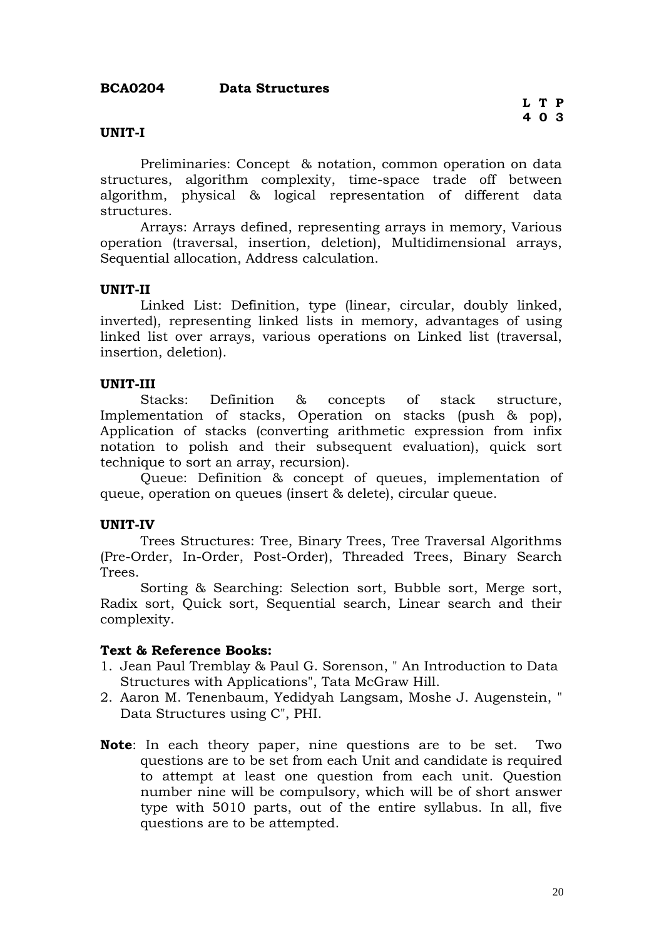### **UNIT-I**

Preliminaries: Concept & notation, common operation on data structures, algorithm complexity, time-space trade off between algorithm, physical & logical representation of different data structures.

Arrays: Arrays defined, representing arrays in memory, Various operation (traversal, insertion, deletion), Multidimensional arrays, Sequential allocation, Address calculation.

### **UNIT-II**

Linked List: Definition, type (linear, circular, doubly linked, inverted), representing linked lists in memory, advantages of using linked list over arrays, various operations on Linked list (traversal, insertion, deletion).

### **UNIT-III**

Stacks: Definition & concepts of stack structure, Implementation of stacks, Operation on stacks (push & pop), Application of stacks (converting arithmetic expression from infix notation to polish and their subsequent evaluation), quick sort technique to sort an array, recursion).

Queue: Definition & concept of queues, implementation of queue, operation on queues (insert & delete), circular queue.

### **UNIT-IV**

Trees Structures: Tree, Binary Trees, Tree Traversal Algorithms (Pre-Order, In-Order, Post-Order), Threaded Trees, Binary Search Trees.

Sorting & Searching: Selection sort, Bubble sort, Merge sort, Radix sort, Quick sort, Sequential search, Linear search and their complexity.

- 1. Jean Paul Tremblay & Paul G. Sorenson, " An Introduction to Data Structures with Applications", Tata McGraw Hill.
- 2. Aaron M. Tenenbaum, Yedidyah Langsam, Moshe J. Augenstein, " Data Structures using C", PHI.
- **Note**: In each theory paper, nine questions are to be set. Two questions are to be set from each Unit and candidate is required to attempt at least one question from each unit. Question number nine will be compulsory, which will be of short answer type with 5010 parts, out of the entire syllabus. In all, five questions are to be attempted.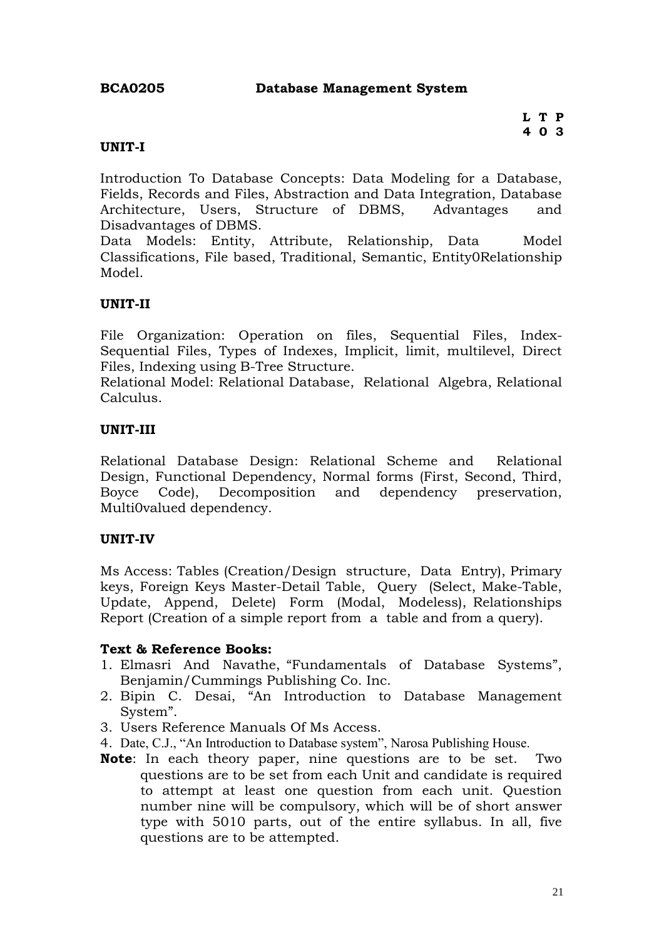### **BCA0205 Database Management System**

### **UNIT-I**

Introduction To Database Concepts: Data Modeling for a Database, Fields, Records and Files, Abstraction and Data Integration, Database Architecture, Users, Structure of DBMS, Advantages and Disadvantages of DBMS.

Data Models: Entity, Attribute, Relationship, Data Model Classifications, File based, Traditional, Semantic, Entity0Relationship Model.

### **UNIT-II**

File Organization: Operation on files, Sequential Files, Index-Sequential Files, Types of Indexes, Implicit, limit, multilevel, Direct Files, Indexing using B-Tree Structure.

Relational Model: Relational Database, Relational Algebra, Relational Calculus.

### **UNIT-III**

Relational Database Design: Relational Scheme and Relational Design, Functional Dependency, Normal forms (First, Second, Third, Boyce Code), Decomposition and dependency preservation, Multi0valued dependency.

### **UNIT-IV**

Ms Access: Tables (Creation/Design structure, Data Entry), Primary keys, Foreign Keys Master-Detail Table, Query (Select, Make-Table, Update, Append, Delete) Form (Modal, Modeless), Relationships Report (Creation of a simple report from a table and from a query).

- 1. Elmasri And Navathe, "Fundamentals of Database Systems", Benjamin/Cummings Publishing Co. Inc.
- 2. Bipin C. Desai, "An Introduction to Database Management System".
- 3. Users Reference Manuals Of Ms Access.
- 4. Date, C.J., "An Introduction to Database system", Narosa Publishing House.
- **Note**: In each theory paper, nine questions are to be set. Two questions are to be set from each Unit and candidate is required to attempt at least one question from each unit. Question number nine will be compulsory, which will be of short answer type with 5010 parts, out of the entire syllabus. In all, five questions are to be attempted.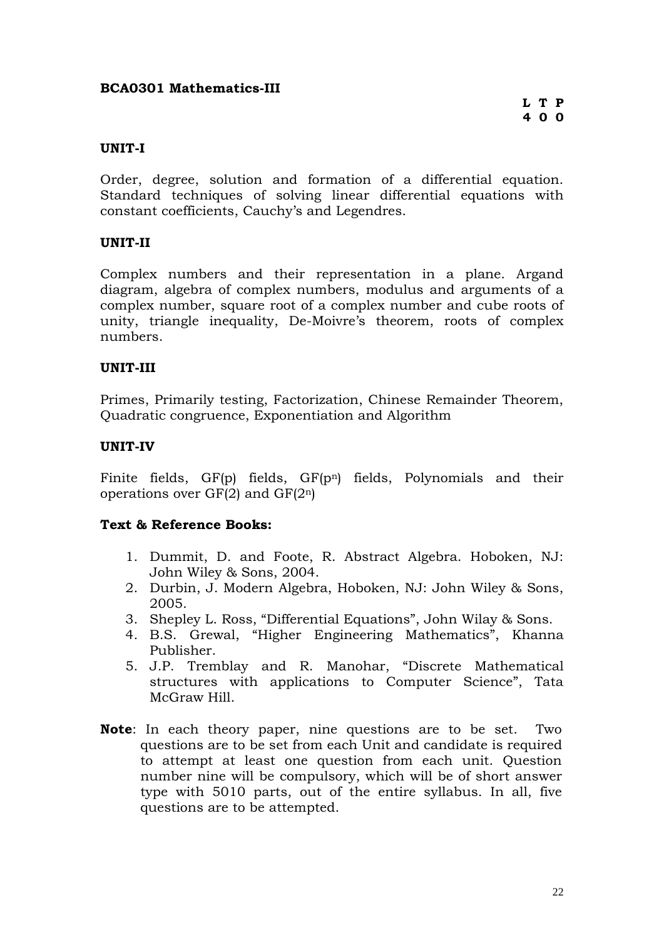### **BCA0301 Mathematics-III**

### **UNIT-I**

Order, degree, solution and formation of a differential equation. Standard techniques of solving linear differential equations with constant coefficients, Cauchy's and Legendres.

### **UNIT-II**

Complex numbers and their representation in a plane. Argand diagram, algebra of complex numbers, modulus and arguments of a complex number, square root of a complex number and cube roots of unity, triangle inequality, De-Moivre's theorem, roots of complex numbers.

### **UNIT-III**

Primes, Primarily testing, Factorization, Chinese Remainder Theorem, Quadratic congruence, Exponentiation and Algorithm

### **UNIT-IV**

Finite fields, GF(p) fields, GF(p<sup>n</sup>) fields, Polynomials and their operations over  $GF(2)$  and  $GF(2^n)$ 

- 1. Dummit, D. and Foote, R. Abstract Algebra. Hoboken, NJ: John Wiley & Sons, 2004.
- 2. Durbin, J. Modern Algebra, Hoboken, NJ: John Wiley & Sons, 2005.
- 3. Shepley L. Ross, "Differential Equations", John Wilay & Sons.
- 4. B.S. Grewal, "Higher Engineering Mathematics", Khanna Publisher.
- 5. J.P. Tremblay and R. Manohar, "Discrete Mathematical structures with applications to Computer Science", Tata McGraw Hill.
- **Note**: In each theory paper, nine questions are to be set. Two questions are to be set from each Unit and candidate is required to attempt at least one question from each unit. Question number nine will be compulsory, which will be of short answer type with 5010 parts, out of the entire syllabus. In all, five questions are to be attempted.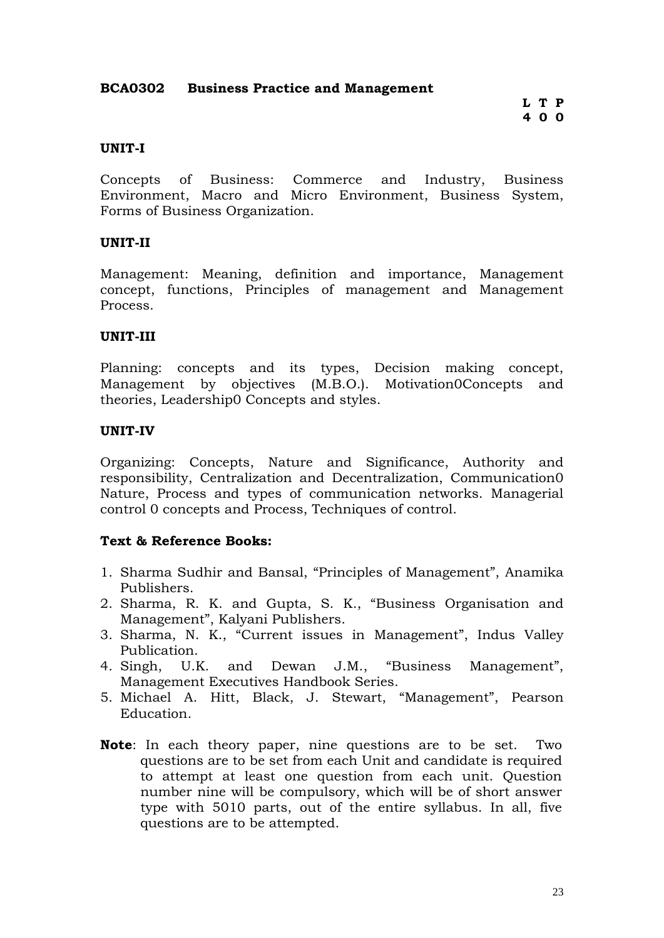### **BCA0302 Business Practice and Management**

**L T P 4 0 0**

#### **UNIT-I**

Concepts of Business: Commerce and Industry, Business Environment, Macro and Micro Environment, Business System, Forms of Business Organization.

### **UNIT-II**

Management: Meaning, definition and importance, Management concept, functions, Principles of management and Management Process.

### **UNIT-III**

Planning: concepts and its types, Decision making concept, Management by objectives (M.B.O.). Motivation0Concepts and theories, Leadership0 Concepts and styles.

#### **UNIT-IV**

Organizing: Concepts, Nature and Significance, Authority and responsibility, Centralization and Decentralization, Communication0 Nature, Process and types of communication networks. Managerial control 0 concepts and Process, Techniques of control.

- 1. Sharma Sudhir and Bansal, "Principles of Management", Anamika Publishers.
- 2. Sharma, R. K. and Gupta, S. K., "Business Organisation and Management", Kalyani Publishers.
- 3. Sharma, N. K., "Current issues in Management", Indus Valley Publication.
- 4. Singh, U.K. and Dewan J.M., "Business Management", Management Executives Handbook Series.
- 5. Michael A. Hitt, Black, J. Stewart, "Management", Pearson Education.
- **Note**: In each theory paper, nine questions are to be set. Two questions are to be set from each Unit and candidate is required to attempt at least one question from each unit. Question number nine will be compulsory, which will be of short answer type with 5010 parts, out of the entire syllabus. In all, five questions are to be attempted.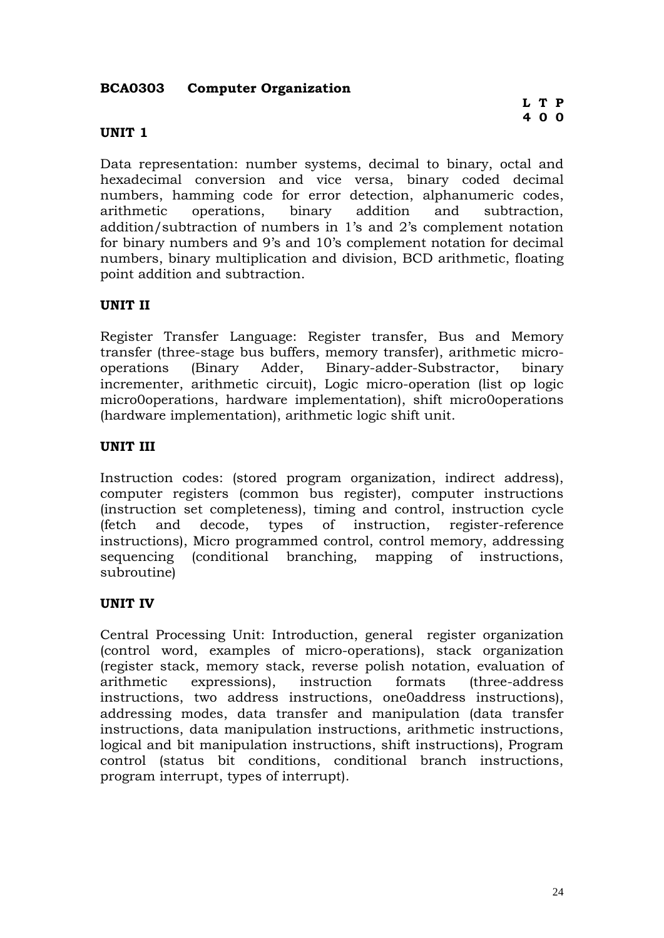### **BCA0303 Computer Organization**

### **UNIT 1**

Data representation: number systems, decimal to binary, octal and hexadecimal conversion and vice versa, binary coded decimal numbers, hamming code for error detection, alphanumeric codes, arithmetic operations, binary addition and subtraction, addition/subtraction of numbers in 1's and 2's complement notation for binary numbers and 9's and 10's complement notation for decimal numbers, binary multiplication and division, BCD arithmetic, floating point addition and subtraction.

### **UNIT II**

Register Transfer Language: Register transfer, Bus and Memory transfer (three-stage bus buffers, memory transfer), arithmetic microoperations (Binary Adder, Binary-adder-Substractor, binary incrementer, arithmetic circuit), Logic micro-operation (list op logic micro0operations, hardware implementation), shift micro0operations (hardware implementation), arithmetic logic shift unit.

### **UNIT III**

Instruction codes: (stored program organization, indirect address), computer registers (common bus register), computer instructions (instruction set completeness), timing and control, instruction cycle (fetch and decode, types of instruction, register-reference instructions), Micro programmed control, control memory, addressing sequencing (conditional branching, mapping of instructions, subroutine)

### **UNIT IV**

Central Processing Unit: Introduction, general register organization (control word, examples of micro-operations), stack organization (register stack, memory stack, reverse polish notation, evaluation of arithmetic expressions), instruction formats (three-address instructions, two address instructions, one0address instructions), addressing modes, data transfer and manipulation (data transfer instructions, data manipulation instructions, arithmetic instructions, logical and bit manipulation instructions, shift instructions), Program control (status bit conditions, conditional branch instructions, program interrupt, types of interrupt).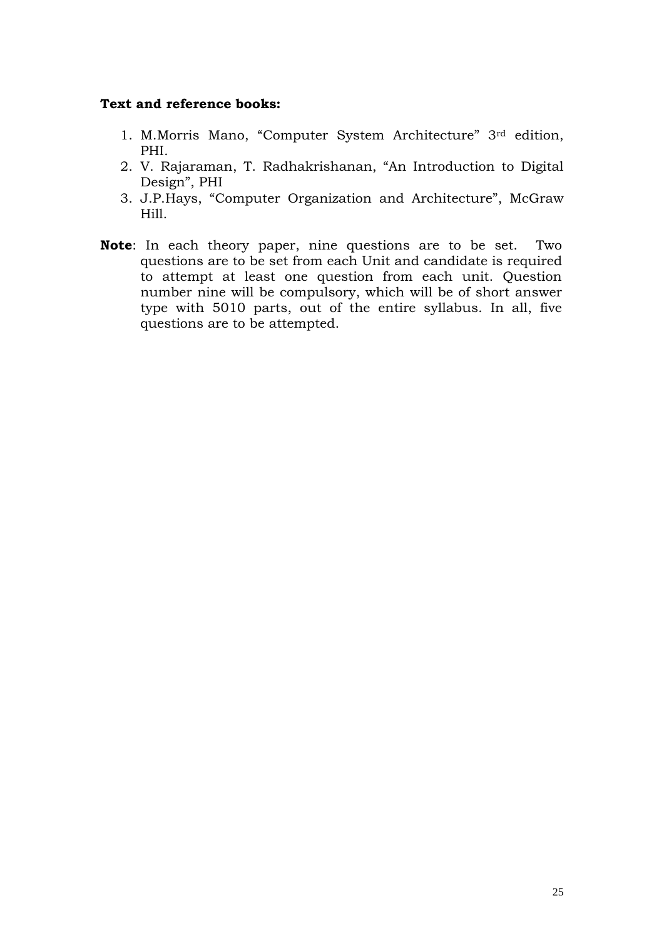### **Text and reference books:**

- 1. M.Morris Mano, "Computer System Architecture" 3rd edition, PHI.
- 2. V. Rajaraman, T. Radhakrishanan, "An Introduction to Digital Design", PHI
- 3. J.P.Hays, "Computer Organization and Architecture", McGraw Hill.
- **Note**: In each theory paper, nine questions are to be set. Two questions are to be set from each Unit and candidate is required to attempt at least one question from each unit. Question number nine will be compulsory, which will be of short answer type with 5010 parts, out of the entire syllabus. In all, five questions are to be attempted.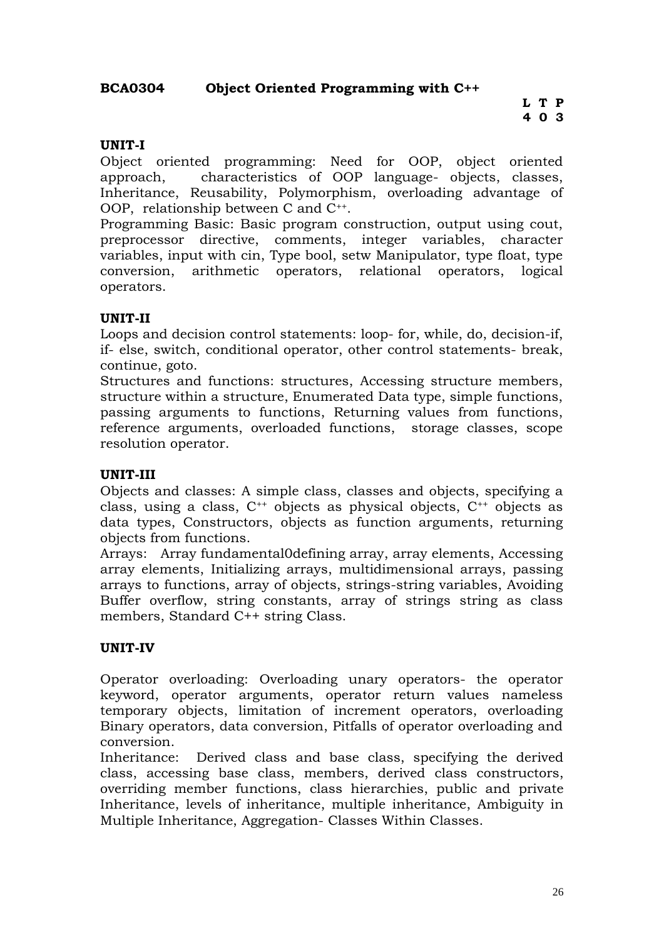### **UNIT-I**

Object oriented programming: Need for OOP, object oriented approach, characteristics of OOP language- objects, classes, Inheritance, Reusability, Polymorphism, overloading advantage of OOP, relationship between C and C++.

Programming Basic: Basic program construction, output using cout, preprocessor directive, comments, integer variables, character variables, input with cin, Type bool, setw Manipulator, type float, type conversion, arithmetic operators, relational operators, logical operators.

### **UNIT-II**

Loops and decision control statements: loop- for, while, do, decision-if, if- else, switch, conditional operator, other control statements- break, continue, goto.

Structures and functions: structures, Accessing structure members, structure within a structure, Enumerated Data type, simple functions, passing arguments to functions, Returning values from functions, reference arguments, overloaded functions, storage classes, scope resolution operator.

### **UNIT-III**

Objects and classes: A simple class, classes and objects, specifying a class, using a class, C++ objects as physical objects, C++ objects as data types, Constructors, objects as function arguments, returning objects from functions.

Arrays: Array fundamental0defining array, array elements, Accessing array elements, Initializing arrays, multidimensional arrays, passing arrays to functions, array of objects, strings-string variables, Avoiding Buffer overflow, string constants, array of strings string as class members, Standard C++ string Class.

### **UNIT-IV**

Operator overloading: Overloading unary operators- the operator keyword, operator arguments, operator return values nameless temporary objects, limitation of increment operators, overloading Binary operators, data conversion, Pitfalls of operator overloading and conversion.

Inheritance: Derived class and base class, specifying the derived class, accessing base class, members, derived class constructors, overriding member functions, class hierarchies, public and private Inheritance, levels of inheritance, multiple inheritance, Ambiguity in Multiple Inheritance, Aggregation- Classes Within Classes.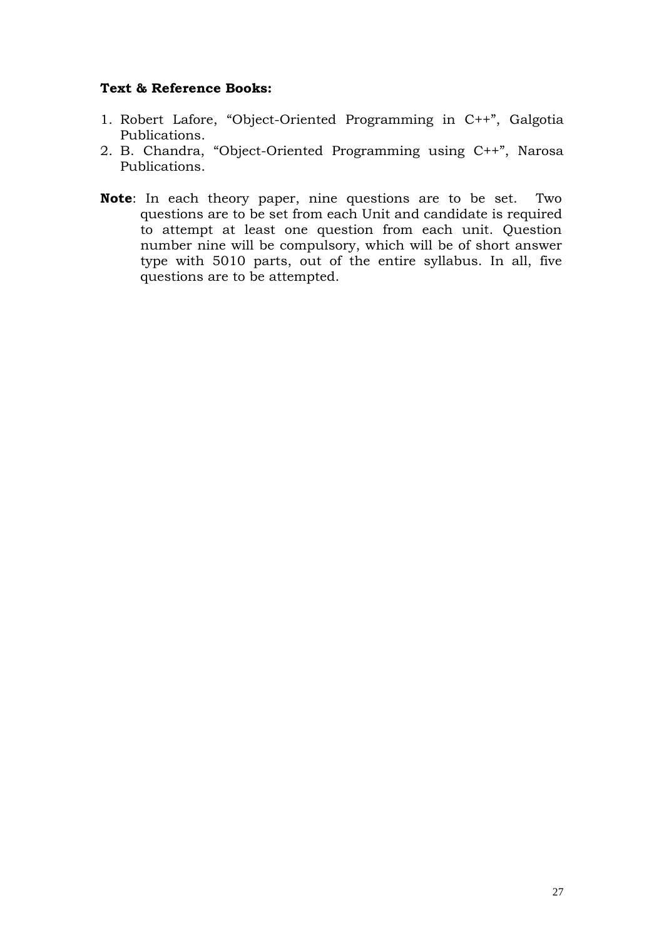- 1. Robert Lafore, "Object-Oriented Programming in C++", Galgotia Publications.
- 2. B. Chandra, "Object-Oriented Programming using C++", Narosa Publications.
- **Note**: In each theory paper, nine questions are to be set. Two questions are to be set from each Unit and candidate is required to attempt at least one question from each unit. Question number nine will be compulsory, which will be of short answer type with 5010 parts, out of the entire syllabus. In all, five questions are to be attempted.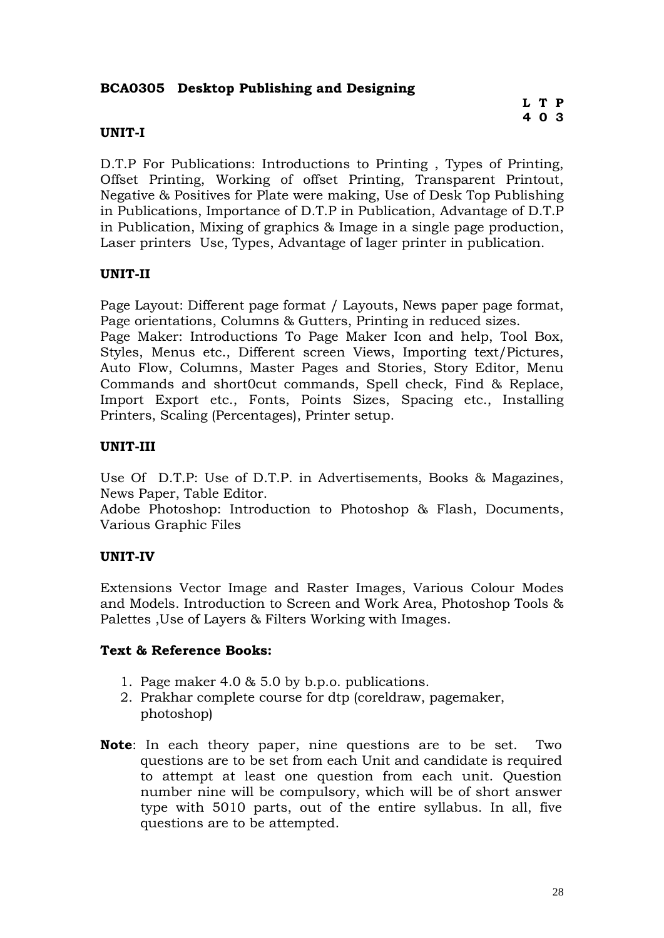### **BCA0305 Desktop Publishing and Designing**

### **UNIT-I**

D.T.P For Publications: Introductions to Printing , Types of Printing, Offset Printing, Working of offset Printing, Transparent Printout, Negative & Positives for Plate were making, Use of Desk Top Publishing in Publications, Importance of D.T.P in Publication, Advantage of D.T.P in Publication, Mixing of graphics & Image in a single page production, Laser printers Use, Types, Advantage of lager printer in publication.

### **UNIT-II**

Page Layout: Different page format / Layouts, News paper page format, Page orientations, Columns & Gutters, Printing in reduced sizes.

Page Maker: Introductions To Page Maker Icon and help, Tool Box, Styles, Menus etc., Different screen Views, Importing text/Pictures, Auto Flow, Columns, Master Pages and Stories, Story Editor, Menu Commands and short0cut commands, Spell check, Find & Replace, Import Export etc., Fonts, Points Sizes, Spacing etc., Installing Printers, Scaling (Percentages), Printer setup.

### **UNIT-III**

Use Of D.T.P: Use of D.T.P. in Advertisements, Books & Magazines, News Paper, Table Editor.

Adobe Photoshop: Introduction to Photoshop & Flash, Documents, Various Graphic Files

### **UNIT-IV**

Extensions Vector Image and Raster Images, Various Colour Modes and Models. Introduction to Screen and Work Area, Photoshop Tools & Palettes ,Use of Layers & Filters Working with Images.

- 1. Page maker 4.0 & 5.0 by b.p.o. publications.
- 2. Prakhar complete course for dtp (coreldraw, pagemaker, photoshop)
- **Note**: In each theory paper, nine questions are to be set. Two questions are to be set from each Unit and candidate is required to attempt at least one question from each unit. Question number nine will be compulsory, which will be of short answer type with 5010 parts, out of the entire syllabus. In all, five questions are to be attempted.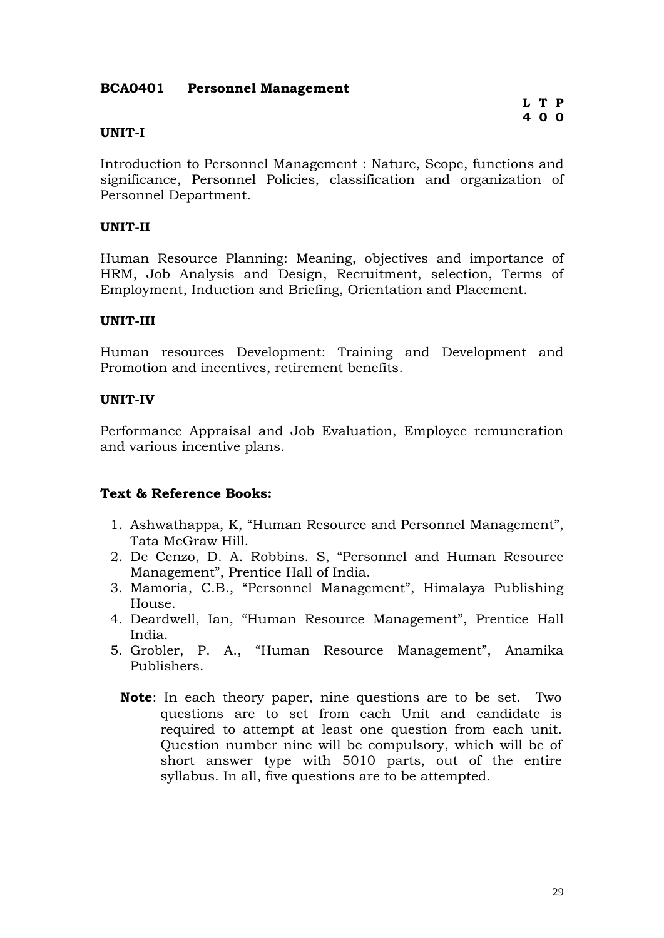### **BCA0401 Personnel Management**

### **UNIT-I**

Introduction to Personnel Management : Nature, Scope, functions and significance, Personnel Policies, classification and organization of Personnel Department.

### **UNIT-II**

Human Resource Planning: Meaning, objectives and importance of HRM, Job Analysis and Design, Recruitment, selection, Terms of Employment, Induction and Briefing, Orientation and Placement.

### **UNIT-III**

Human resources Development: Training and Development and Promotion and incentives, retirement benefits.

### **UNIT-IV**

Performance Appraisal and Job Evaluation, Employee remuneration and various incentive plans.

- 1. Ashwathappa, K, "Human Resource and Personnel Management", Tata McGraw Hill.
- 2. De Cenzo, D. A. Robbins. S, "Personnel and Human Resource Management", Prentice Hall of India.
- 3. Mamoria, C.B., "Personnel Management", Himalaya Publishing House.
- 4. Deardwell, Ian, "Human Resource Management", Prentice Hall India.
- 5. Grobler, P. A., "Human Resource Management", Anamika Publishers.
	- **Note**: In each theory paper, nine questions are to be set. Two questions are to set from each Unit and candidate is required to attempt at least one question from each unit. Question number nine will be compulsory, which will be of short answer type with 5010 parts, out of the entire syllabus. In all, five questions are to be attempted.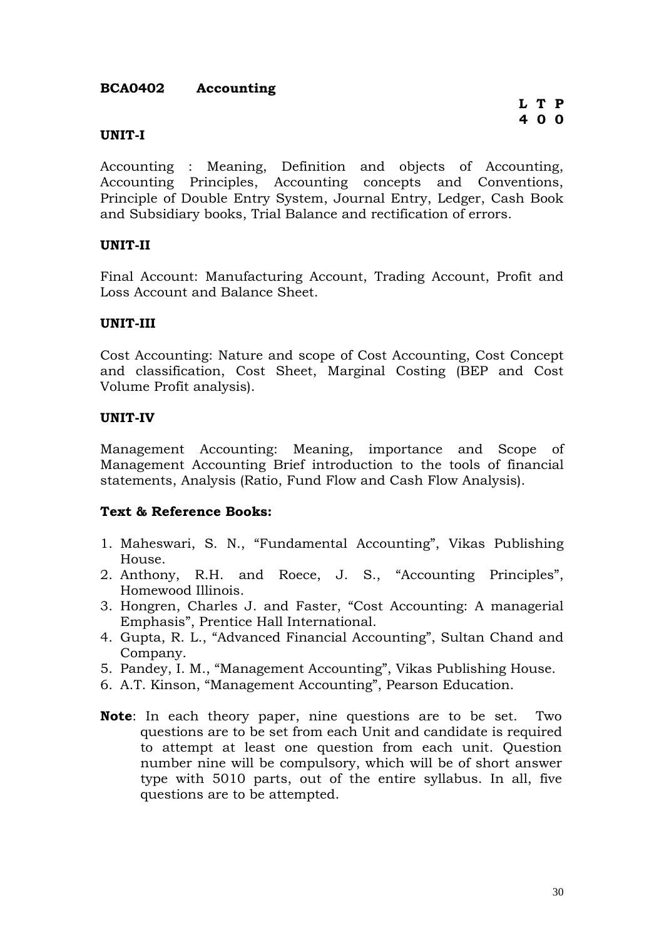### **BCA0402 Accounting**

### **UNIT-I**

Accounting : Meaning, Definition and objects of Accounting, Accounting Principles, Accounting concepts and Conventions, Principle of Double Entry System, Journal Entry, Ledger, Cash Book and Subsidiary books, Trial Balance and rectification of errors.

### **UNIT-II**

Final Account: Manufacturing Account, Trading Account, Profit and Loss Account and Balance Sheet.

### **UNIT-III**

Cost Accounting: Nature and scope of Cost Accounting, Cost Concept and classification, Cost Sheet, Marginal Costing (BEP and Cost Volume Profit analysis).

### **UNIT-IV**

Management Accounting: Meaning, importance and Scope of Management Accounting Brief introduction to the tools of financial statements, Analysis (Ratio, Fund Flow and Cash Flow Analysis).

- 1. Maheswari, S. N., "Fundamental Accounting", Vikas Publishing House.
- 2. Anthony, R.H. and Roece, J. S., "Accounting Principles", Homewood Illinois.
- 3. Hongren, Charles J. and Faster, "Cost Accounting: A managerial Emphasis", Prentice Hall International.
- 4. Gupta, R. L., "Advanced Financial Accounting", Sultan Chand and Company.
- 5. Pandey, I. M., "Management Accounting", Vikas Publishing House.
- 6. A.T. Kinson, "Management Accounting", Pearson Education.
- **Note**: In each theory paper, nine questions are to be set. Two questions are to be set from each Unit and candidate is required to attempt at least one question from each unit. Question number nine will be compulsory, which will be of short answer type with 5010 parts, out of the entire syllabus. In all, five questions are to be attempted.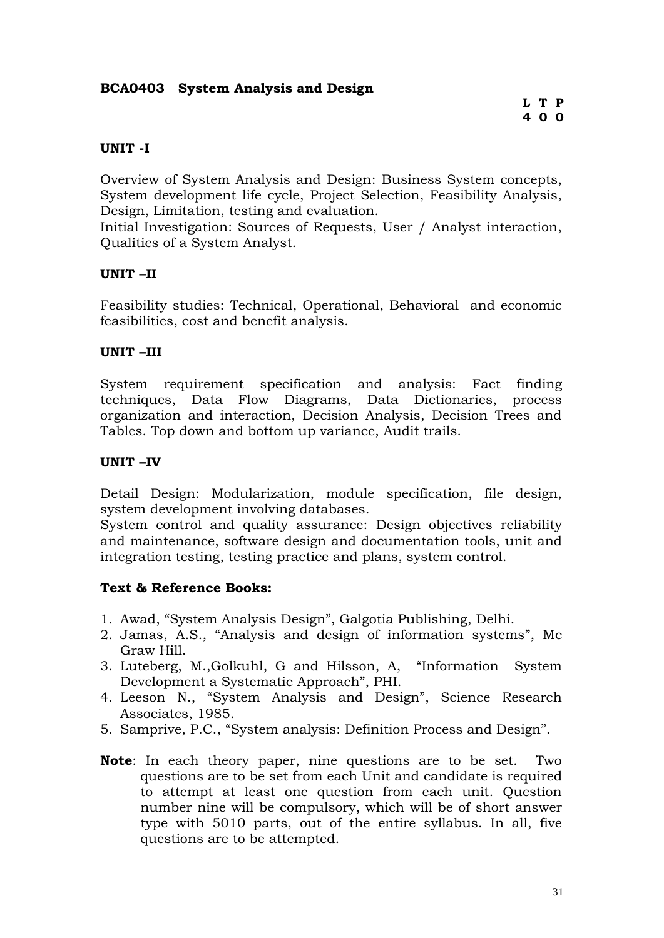### **BCA0403 System Analysis and Design**

### **UNIT -I**

Overview of System Analysis and Design: Business System concepts, System development life cycle, Project Selection, Feasibility Analysis, Design, Limitation, testing and evaluation.

Initial Investigation: Sources of Requests, User / Analyst interaction, Qualities of a System Analyst.

### **UNIT –II**

Feasibility studies: Technical, Operational, Behavioral and economic feasibilities, cost and benefit analysis.

### **UNIT –III**

System requirement specification and analysis: Fact finding techniques, Data Flow Diagrams, Data Dictionaries, process organization and interaction, Decision Analysis, Decision Trees and Tables. Top down and bottom up variance, Audit trails.

### **UNIT –IV**

Detail Design: Modularization, module specification, file design, system development involving databases.

System control and quality assurance: Design objectives reliability and maintenance, software design and documentation tools, unit and integration testing, testing practice and plans, system control.

- 1. Awad, "System Analysis Design", Galgotia Publishing, Delhi.
- 2. Jamas, A.S., "Analysis and design of information systems", Mc Graw Hill.
- 3. Luteberg, M.,Golkuhl, G and Hilsson, A, "Information System Development a Systematic Approach", PHI.
- 4. Leeson N., "System Analysis and Design", Science Research Associates, 1985.
- 5. Samprive, P.C., "System analysis: Definition Process and Design".
- **Note**: In each theory paper, nine questions are to be set. Two questions are to be set from each Unit and candidate is required to attempt at least one question from each unit. Question number nine will be compulsory, which will be of short answer type with 5010 parts, out of the entire syllabus. In all, five questions are to be attempted.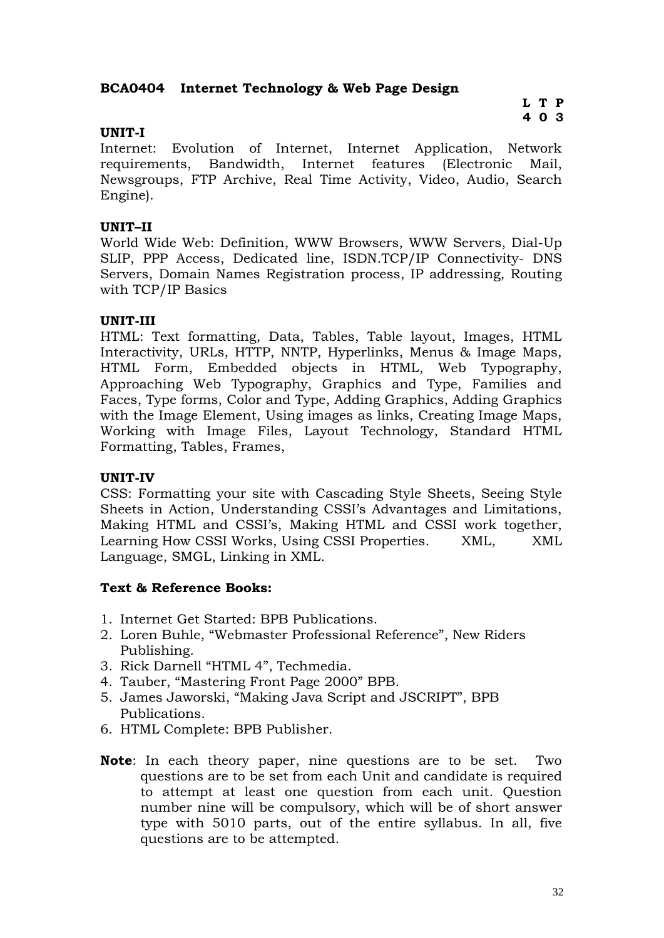### **BCA0404 Internet Technology & Web Page Design**

### **L T P 4 0 3**

### **UNIT-I**

Internet: Evolution of Internet, Internet Application, Network requirements, Bandwidth, Internet features (Electronic Mail, Newsgroups, FTP Archive, Real Time Activity, Video, Audio, Search Engine).

### **UNIT–II**

World Wide Web: Definition, WWW Browsers, WWW Servers, Dial-Up SLIP, PPP Access, Dedicated line, ISDN.TCP/IP Connectivity- DNS Servers, Domain Names Registration process, IP addressing, Routing with TCP/IP Basics

### **UNIT-III**

HTML: Text formatting, Data, Tables, Table layout, Images, HTML Interactivity, URLs, HTTP, NNTP, Hyperlinks, Menus & Image Maps, HTML Form, Embedded objects in HTML, Web Typography, Approaching Web Typography, Graphics and Type, Families and Faces, Type forms, Color and Type, Adding Graphics, Adding Graphics with the Image Element, Using images as links, Creating Image Maps, Working with Image Files, Layout Technology, Standard HTML Formatting, Tables, Frames,

### **UNIT-IV**

CSS: Formatting your site with Cascading Style Sheets, Seeing Style Sheets in Action, Understanding CSSI's Advantages and Limitations, Making HTML and CSSI's, Making HTML and CSSI work together, Learning How CSSI Works, Using CSSI Properties. XML, XML Language, SMGL, Linking in XML.

- 1. Internet Get Started: BPB Publications.
- 2. Loren Buhle, "Webmaster Professional Reference", New Riders Publishing.
- 3. Rick Darnell "HTML 4", Techmedia.
- 4. Tauber, "Mastering Front Page 2000" BPB.
- 5. James Jaworski, "Making Java Script and JSCRIPT", BPB Publications.
- 6. HTML Complete: BPB Publisher.
- **Note**: In each theory paper, nine questions are to be set. Two questions are to be set from each Unit and candidate is required to attempt at least one question from each unit. Question number nine will be compulsory, which will be of short answer type with 5010 parts, out of the entire syllabus. In all, five questions are to be attempted.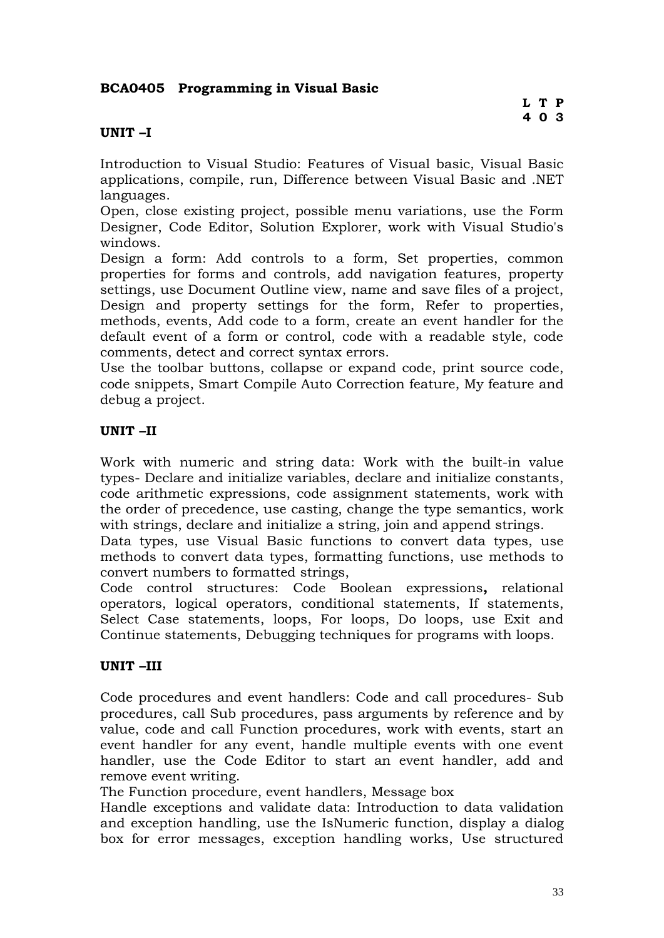### **BCA0405 Programming in Visual Basic**

### **UNIT –I**

Introduction to Visual Studio: Features of Visual basic, Visual Basic applications, compile, run, Difference between Visual Basic and .NET languages.

Open, close existing project, possible menu variations, use the Form Designer, Code Editor, Solution Explorer, work with Visual Studio's windows.

Design a form: Add controls to a form, Set properties, common properties for forms and controls, add navigation features, property settings, use Document Outline view, name and save files of a project, Design and property settings for the form, Refer to properties, methods, events, Add code to a form, create an event handler for the default event of a form or control, code with a readable style, code comments, detect and correct syntax errors.

Use the toolbar buttons, collapse or expand code, print source code, code snippets, Smart Compile Auto Correction feature, My feature and debug a project.

### **UNIT –II**

Work with numeric and string data: Work with the built-in value types- Declare and initialize variables, declare and initialize constants, code arithmetic expressions, code assignment statements, work with the order of precedence, use casting, change the type semantics, work with strings, declare and initialize a string, join and append strings.

Data types, use Visual Basic functions to convert data types, use methods to convert data types, formatting functions, use methods to convert numbers to formatted strings,

Code control structures: Code Boolean expressions**,** relational operators, logical operators, conditional statements, If statements, Select Case statements, loops, For loops, Do loops, use Exit and Continue statements, Debugging techniques for programs with loops.

### **UNIT –III**

Code procedures and event handlers: Code and call procedures- Sub procedures, call Sub procedures, pass arguments by reference and by value, code and call Function procedures, work with events, start an event handler for any event, handle multiple events with one event handler, use the Code Editor to start an event handler, add and remove event writing.

The Function procedure, event handlers, Message box

Handle exceptions and validate data: Introduction to data validation and exception handling, use the IsNumeric function, display a dialog box for error messages, exception handling works, Use structured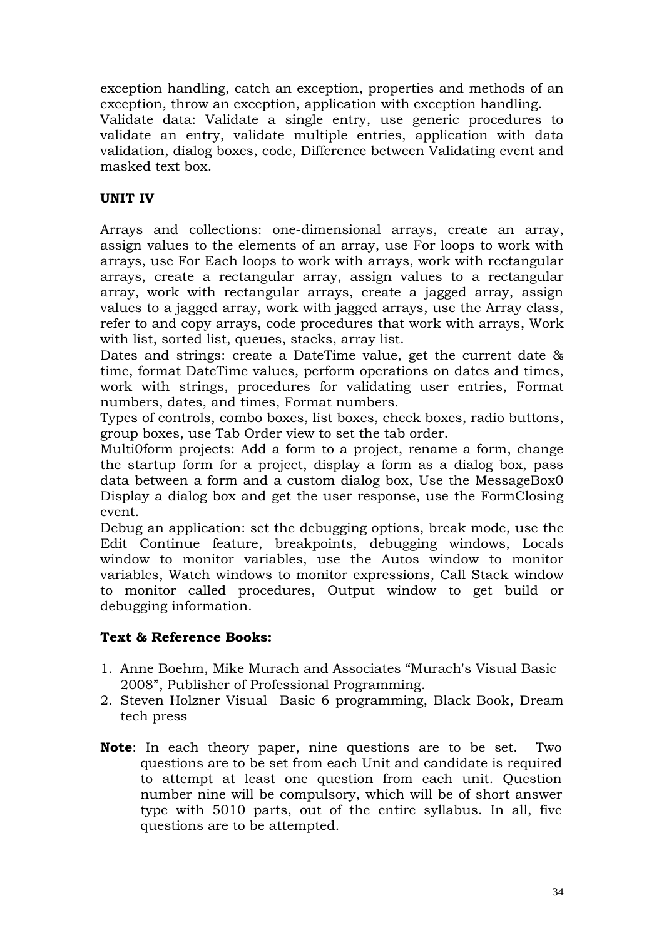exception handling, catch an exception, properties and methods of an exception, throw an exception, application with exception handling. Validate data: Validate a single entry, use generic procedures to validate an entry, validate multiple entries, application with data validation, dialog boxes, code, Difference between Validating event and masked text box.

### **UNIT IV**

Arrays and collections: one-dimensional arrays, create an array, assign values to the elements of an array, use For loops to work with arrays, use For Each loops to work with arrays, work with rectangular arrays, create a rectangular array, assign values to a rectangular array, work with rectangular arrays, create a jagged array, assign values to a jagged array, work with jagged arrays, use the Array class, refer to and copy arrays, code procedures that work with arrays, Work with list, sorted list, queues, stacks, array list.

Dates and strings: create a DateTime value, get the current date & time, format DateTime values, perform operations on dates and times, work with strings, procedures for validating user entries, Format numbers, dates, and times, Format numbers.

Types of controls, combo boxes, list boxes, check boxes, radio buttons, group boxes, use Tab Order view to set the tab order.

Multi0form projects: Add a form to a project, rename a form, change the startup form for a project, display a form as a dialog box, pass data between a form and a custom dialog box, Use the MessageBox0 Display a dialog box and get the user response, use the FormClosing event.

Debug an application: set the debugging options, break mode, use the Edit Continue feature, breakpoints, debugging windows, Locals window to monitor variables, use the Autos window to monitor variables, Watch windows to monitor expressions, Call Stack window to monitor called procedures, Output window to get build or debugging information.

- 1. Anne Boehm, Mike Murach and Associates "Murach's Visual Basic 2008", Publisher of Professional Programming.
- 2. Steven Holzner VisualBasic 6 programming, Black Book, Dream tech press
- **Note**: In each theory paper, nine questions are to be set. Two questions are to be set from each Unit and candidate is required to attempt at least one question from each unit. Question number nine will be compulsory, which will be of short answer type with 5010 parts, out of the entire syllabus. In all, five questions are to be attempted.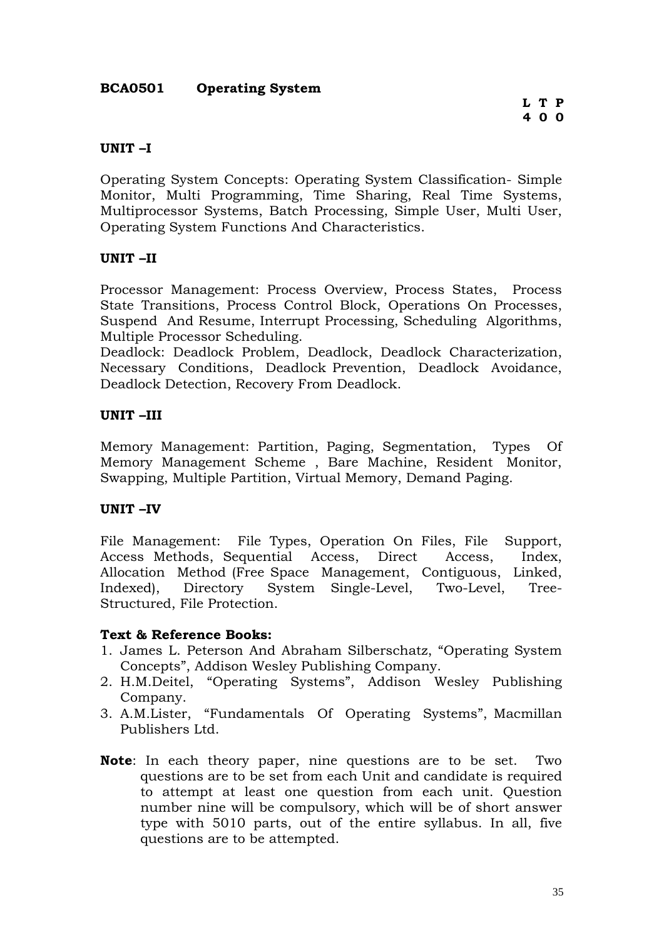### **BCA0501 Operating System**

### **UNIT –I**

Operating System Concepts: Operating System Classification- Simple Monitor, Multi Programming, Time Sharing, Real Time Systems, Multiprocessor Systems, Batch Processing, Simple User, Multi User, Operating System Functions And Characteristics.

### **UNIT –II**

Processor Management: Process Overview, Process States, Process State Transitions, Process Control Block, Operations On Processes, Suspend And Resume, Interrupt Processing, Scheduling Algorithms, Multiple Processor Scheduling.

Deadlock: Deadlock Problem, Deadlock, Deadlock Characterization, Necessary Conditions, Deadlock Prevention, Deadlock Avoidance, Deadlock Detection, Recovery From Deadlock.

### **UNIT –III**

Memory Management: Partition, Paging, Segmentation, Types Of Memory Management Scheme , Bare Machine, Resident Monitor, Swapping, Multiple Partition, Virtual Memory, Demand Paging.

### **UNIT –IV**

File Management: File Types, Operation On Files, File Support, Access Methods, Sequential Access, Direct Access, Index, Allocation Method (Free Space Management, Contiguous, Linked, Indexed), Directory System Single-Level, Two-Level, Tree-Structured, File Protection.

- 1. James L. Peterson And Abraham Silberschatz, "Operating System Concepts", Addison Wesley Publishing Company.
- 2. H.M.Deitel, "Operating Systems", Addison Wesley Publishing Company.
- 3. A.M.Lister, "Fundamentals Of Operating Systems", Macmillan Publishers Ltd.
- **Note**: In each theory paper, nine questions are to be set. Two questions are to be set from each Unit and candidate is required to attempt at least one question from each unit. Question number nine will be compulsory, which will be of short answer type with 5010 parts, out of the entire syllabus. In all, five questions are to be attempted.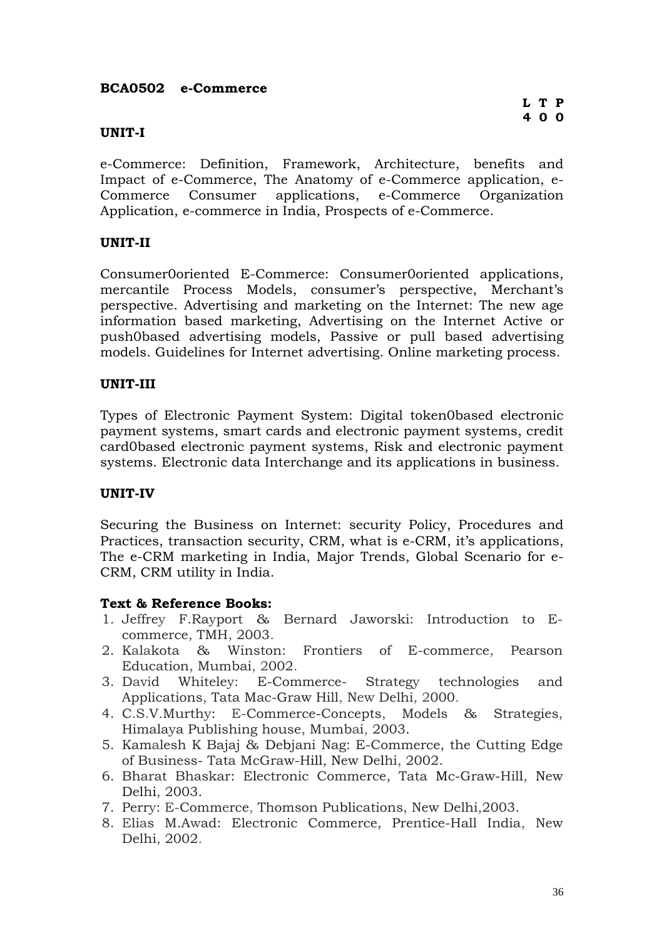### **BCA0502 e-Commerce**

### **UNIT-I**

e-Commerce: Definition, Framework, Architecture, benefits and Impact of e-Commerce, The Anatomy of e-Commerce application, e-Commerce Consumer applications, e-Commerce Organization Application, e-commerce in India, Prospects of e-Commerce.

### **UNIT-II**

Consumer0oriented E-Commerce: Consumer0oriented applications, mercantile Process Models, consumer's perspective, Merchant's perspective. Advertising and marketing on the Internet: The new age information based marketing, Advertising on the Internet Active or push0based advertising models, Passive or pull based advertising models. Guidelines for Internet advertising. Online marketing process.

### **UNIT-III**

Types of Electronic Payment System: Digital token0based electronic payment systems, smart cards and electronic payment systems, credit card0based electronic payment systems, Risk and electronic payment systems. Electronic data Interchange and its applications in business.

### **UNIT-IV**

Securing the Business on Internet: security Policy, Procedures and Practices, transaction security, CRM, what is e-CRM, it's applications, The e-CRM marketing in India, Major Trends, Global Scenario for e-CRM, CRM utility in India.

- 1. Jeffrey F.Rayport & Bernard Jaworski: Introduction to Ecommerce, TMH, 2003.
- 2. Kalakota & Winston: Frontiers of E-commerce, Pearson Education, Mumbai, 2002.
- 3. David Whiteley: E-Commerce- Strategy technologies and Applications, Tata Mac-Graw Hill, New Delhi, 2000.
- 4. C.S.V.Murthy: E-Commerce-Concepts, Models & Strategies, Himalaya Publishing house, Mumbai, 2003.
- 5. Kamalesh K Bajaj & Debjani Nag: E-Commerce, the Cutting Edge of Business- Tata McGraw-Hill, New Delhi, 2002.
- 6. Bharat Bhaskar: Electronic Commerce, Tata Mc-Graw-Hill, New Delhi, 2003.
- 7. Perry: E-Commerce, Thomson Publications, New Delhi,2003.
- 8. Elias M.Awad: Electronic Commerce, Prentice-Hall India, New Delhi, 2002.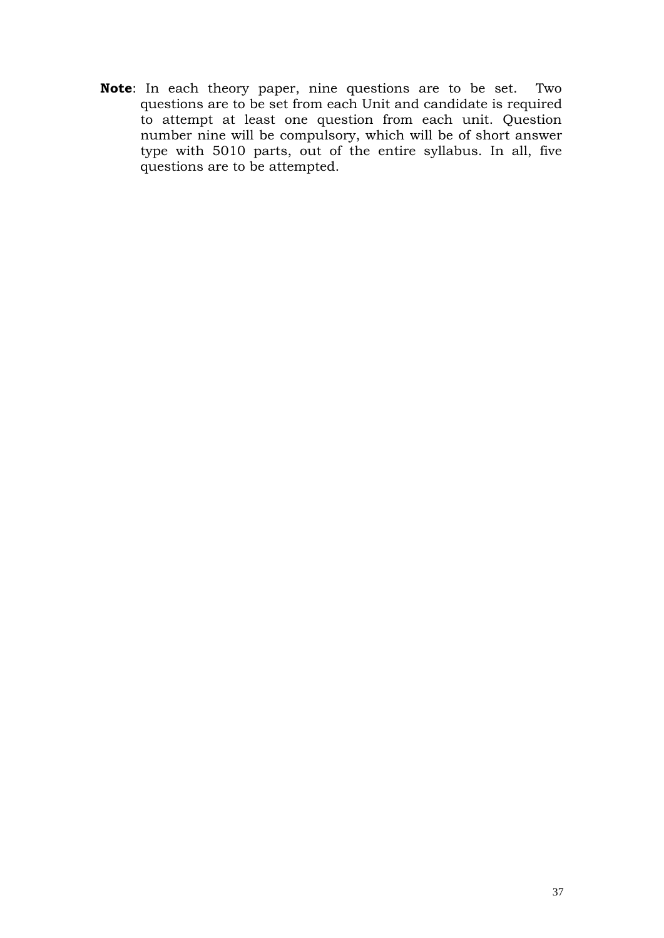**Note**: In each theory paper, nine questions are to be set. Two questions are to be set from each Unit and candidate is required to attempt at least one question from each unit. Question number nine will be compulsory, which will be of short answer type with 5010 parts, out of the entire syllabus. In all, five questions are to be attempted.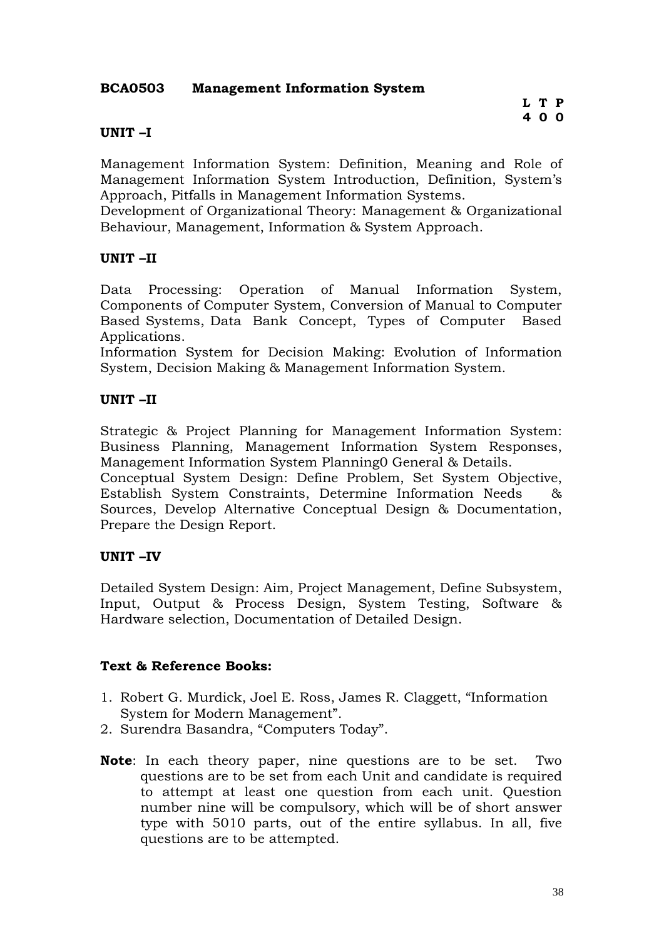### **BCA0503 Management Information System**

### **UNIT –I**

Management Information System: Definition, Meaning and Role of Management Information System Introduction, Definition, System's Approach, Pitfalls in Management Information Systems.

Development of Organizational Theory: Management & Organizational Behaviour, Management, Information & System Approach.

### **UNIT –II**

Data Processing: Operation of Manual Information System, Components of Computer System, Conversion of Manual to Computer Based Systems, Data Bank Concept, Types of Computer Based Applications.

Information System for Decision Making: Evolution of Information System, Decision Making & Management Information System.

### **UNIT –II**

Strategic & Project Planning for Management Information System: Business Planning, Management Information System Responses, Management Information System Planning0 General & Details.

Conceptual System Design: Define Problem, Set System Objective, Establish System Constraints, Determine Information Needs & Sources, Develop Alternative Conceptual Design & Documentation, Prepare the Design Report.

### **UNIT –IV**

Detailed System Design: Aim, Project Management, Define Subsystem, Input, Output & Process Design, System Testing, Software & Hardware selection, Documentation of Detailed Design.

- 1. Robert G. Murdick, Joel E. Ross, James R. Claggett, "Information System for Modern Management".
- 2. Surendra Basandra, "Computers Today".
- **Note**: In each theory paper, nine questions are to be set. Two questions are to be set from each Unit and candidate is required to attempt at least one question from each unit. Question number nine will be compulsory, which will be of short answer type with 5010 parts, out of the entire syllabus. In all, five questions are to be attempted.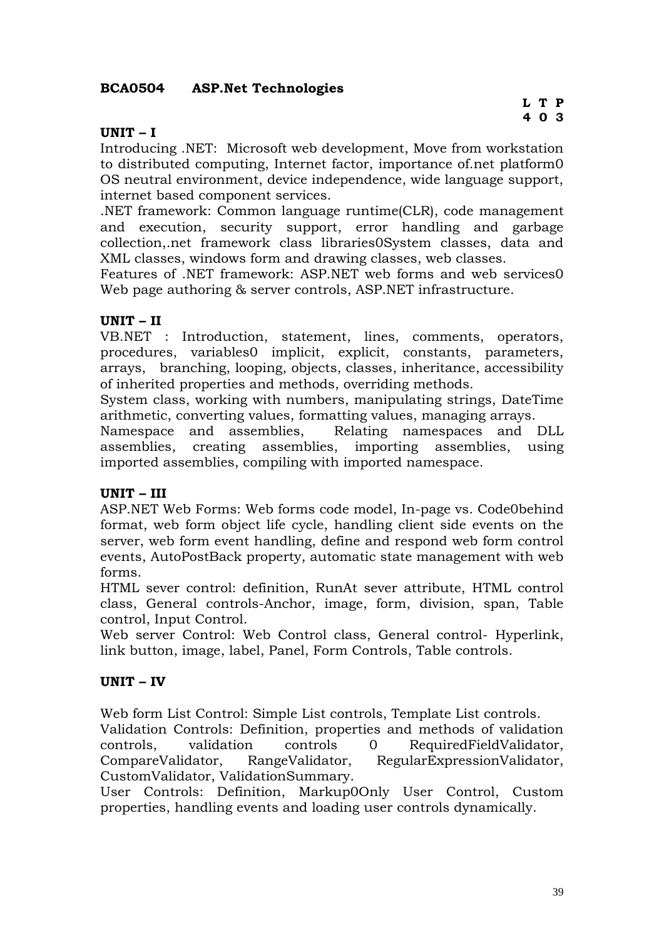### **BCA0504 ASP.Net Technologies**

### **UNIT – I**

Introducing .NET: Microsoft web development, Move from workstation to distributed computing, Internet factor, importance of.net platform0 OS neutral environment, device independence, wide language support, internet based component services.

.NET framework: Common language runtime(CLR), code management and execution, security support, error handling and garbage collection,.net framework class libraries0System classes, data and XML classes, windows form and drawing classes, web classes.

Features of .NET framework: ASP.NET web forms and web services0 Web page authoring & server controls, ASP.NET infrastructure.

### **UNIT – II**

VB.NET : Introduction, statement, lines, comments, operators, procedures, variables0 implicit, explicit, constants, parameters, arrays, branching, looping, objects, classes, inheritance, accessibility of inherited properties and methods, overriding methods.

System class, working with numbers, manipulating strings, DateTime arithmetic, converting values, formatting values, managing arrays.

Namespace and assemblies, Relating namespaces and DLL assemblies, creating assemblies, importing assemblies, using imported assemblies, compiling with imported namespace.

### **UNIT – III**

ASP.NET Web Forms: Web forms code model, In-page vs. Code0behind format, web form object life cycle, handling client side events on the server, web form event handling, define and respond web form control events, AutoPostBack property, automatic state management with web forms.

HTML sever control: definition, RunAt sever attribute, HTML control class, General controls-Anchor, image, form, division, span, Table control, Input Control.

Web server Control: Web Control class, General control- Hyperlink, link button, image, label, Panel, Form Controls, Table controls.

### **UNIT – IV**

Web form List Control: Simple List controls, Template List controls. Validation Controls: Definition, properties and methods of validation controls, validation controls 0 RequiredFieldValidator, CompareValidator, RangeValidator, RegularExpressionValidator,

CustomValidator, ValidationSummary.

User Controls: Definition, Markup0Only User Control, Custom properties, handling events and loading user controls dynamically.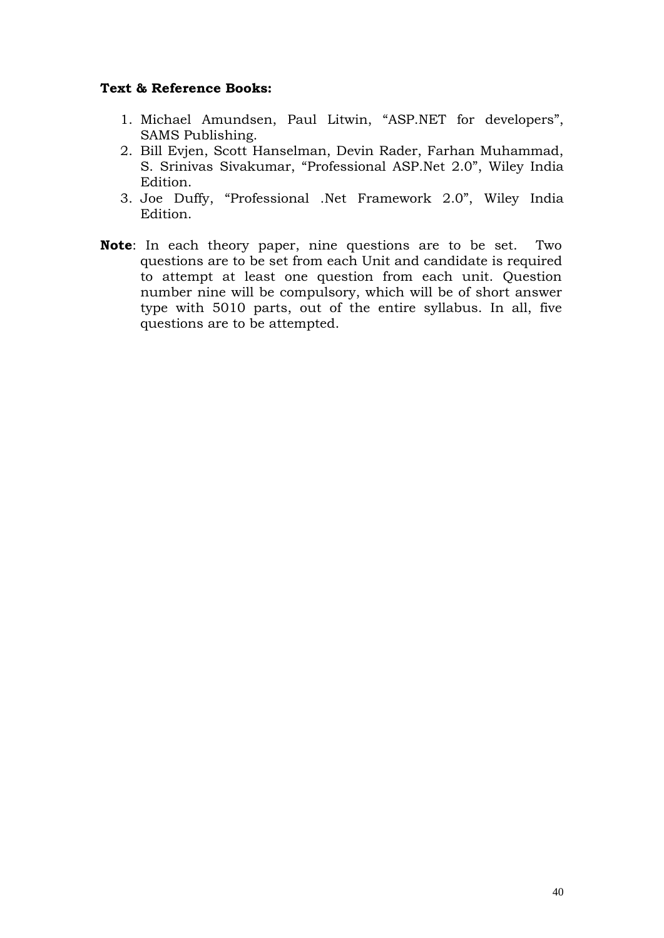- 1. Michael Amundsen, Paul Litwin, "ASP.NET for developers", SAMS Publishing.
- 2. Bill Evjen, Scott Hanselman, Devin Rader, Farhan Muhammad, S. Srinivas Sivakumar, "Professional ASP.Net 2.0", Wiley India Edition.
- 3. Joe Duffy, "Professional .Net Framework 2.0", Wiley India Edition.
- **Note**: In each theory paper, nine questions are to be set. Two questions are to be set from each Unit and candidate is required to attempt at least one question from each unit. Question number nine will be compulsory, which will be of short answer type with 5010 parts, out of the entire syllabus. In all, five questions are to be attempted.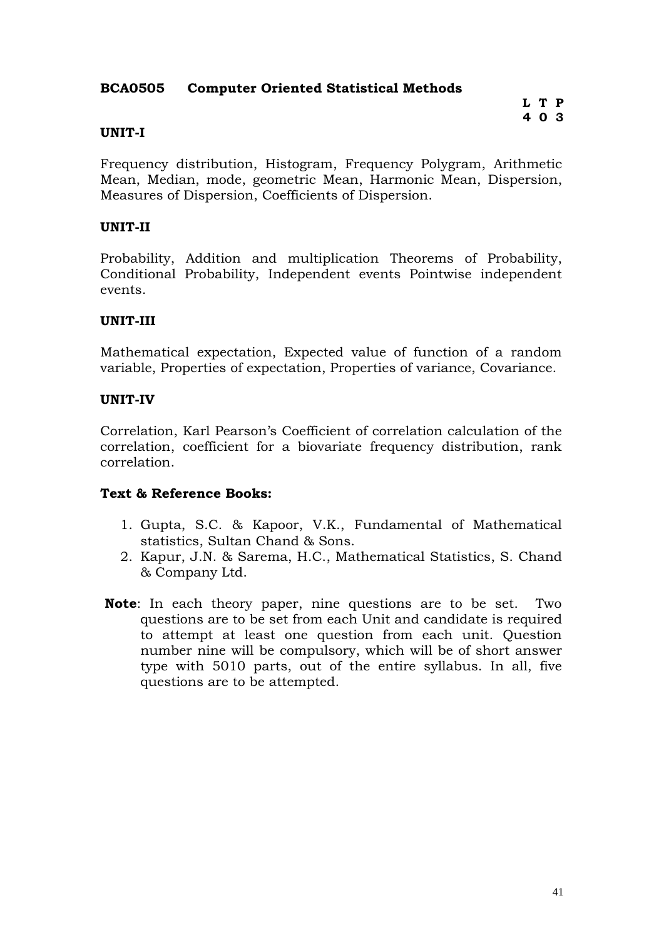### **BCA0505 Computer Oriented Statistical Methods**

### **L T P 4 0 3**

### **UNIT-I**

Frequency distribution, Histogram, Frequency Polygram, Arithmetic Mean, Median, mode, geometric Mean, Harmonic Mean, Dispersion, Measures of Dispersion, Coefficients of Dispersion.

### **UNIT-II**

Probability, Addition and multiplication Theorems of Probability, Conditional Probability, Independent events Pointwise independent events.

### **UNIT-III**

Mathematical expectation, Expected value of function of a random variable, Properties of expectation, Properties of variance, Covariance.

### **UNIT-IV**

Correlation, Karl Pearson's Coefficient of correlation calculation of the correlation, coefficient for a biovariate frequency distribution, rank correlation.

- 1. Gupta, S.C. & Kapoor, V.K., Fundamental of Mathematical statistics, Sultan Chand & Sons.
- 2. Kapur, J.N. & Sarema, H.C., Mathematical Statistics, S. Chand & Company Ltd.
- **Note**: In each theory paper, nine questions are to be set. Two questions are to be set from each Unit and candidate is required to attempt at least one question from each unit. Question number nine will be compulsory, which will be of short answer type with 5010 parts, out of the entire syllabus. In all, five questions are to be attempted.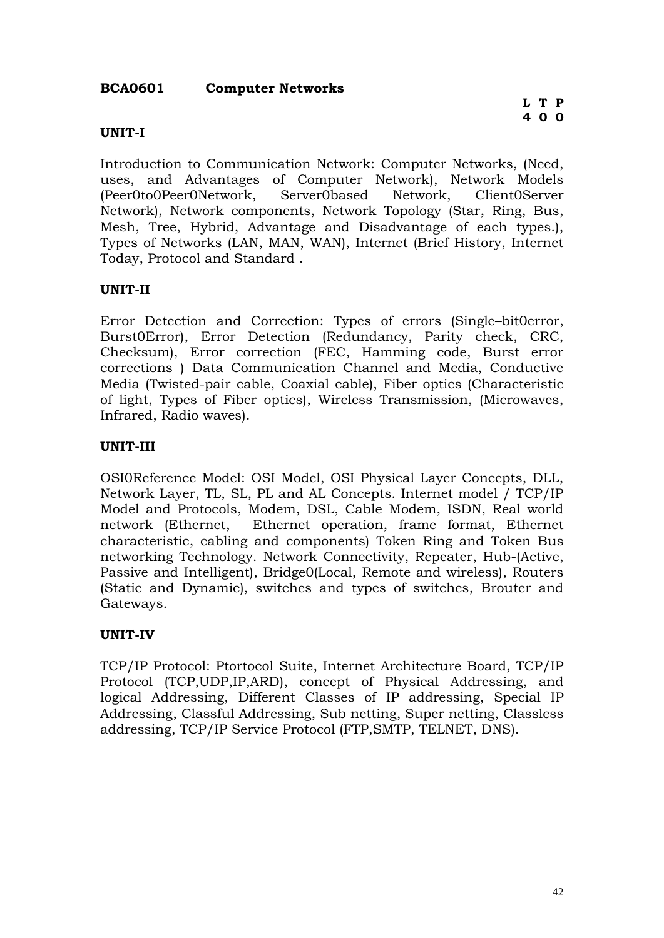### **BCA0601 Computer Networks**

### **UNIT-I**

Introduction to Communication Network: Computer Networks, (Need, uses, and Advantages of Computer Network), Network Models (Peer0to0Peer0Network, Server0based Network, Client0Server Network), Network components, Network Topology (Star, Ring, Bus, Mesh, Tree, Hybrid, Advantage and Disadvantage of each types.), Types of Networks (LAN, MAN, WAN), Internet (Brief History, Internet Today, Protocol and Standard .

### **UNIT-II**

Error Detection and Correction: Types of errors (Single–bit0error, Burst0Error), Error Detection (Redundancy, Parity check, CRC, Checksum), Error correction (FEC, Hamming code, Burst error corrections ) Data Communication Channel and Media, Conductive Media (Twisted-pair cable, Coaxial cable), Fiber optics (Characteristic of light, Types of Fiber optics), Wireless Transmission, (Microwaves, Infrared, Radio waves).

### **UNIT-III**

OSI0Reference Model: OSI Model, OSI Physical Layer Concepts, DLL, Network Layer, TL, SL, PL and AL Concepts. Internet model / TCP/IP Model and Protocols, Modem, DSL, Cable Modem, ISDN, Real world network (Ethernet, Ethernet operation, frame format, Ethernet characteristic, cabling and components) Token Ring and Token Bus networking Technology. Network Connectivity, Repeater, Hub-(Active, Passive and Intelligent), Bridge0(Local, Remote and wireless), Routers (Static and Dynamic), switches and types of switches, Brouter and Gateways.

### **UNIT-IV**

TCP/IP Protocol: Ptortocol Suite, Internet Architecture Board, TCP/IP Protocol (TCP,UDP,IP,ARD), concept of Physical Addressing, and logical Addressing, Different Classes of IP addressing, Special IP Addressing, Classful Addressing, Sub netting, Super netting, Classless addressing, TCP/IP Service Protocol (FTP,SMTP, TELNET, DNS).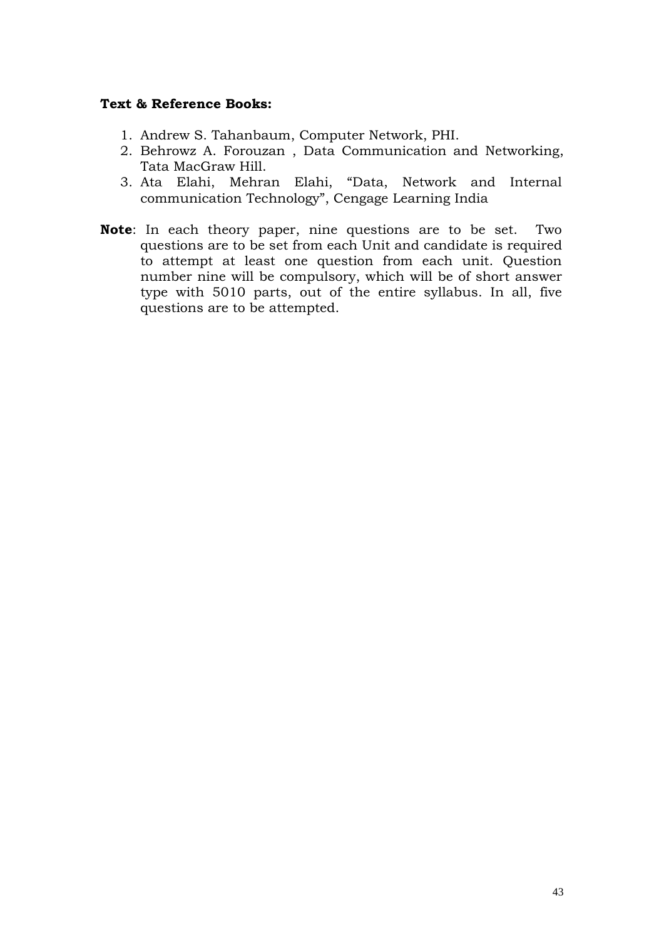- 1. Andrew S. Tahanbaum, Computer Network, PHI.
- 2. Behrowz A. Forouzan , Data Communication and Networking, Tata MacGraw Hill.
- 3. Ata Elahi, Mehran Elahi, "Data, Network and Internal communication Technology", Cengage Learning India
- **Note**: In each theory paper, nine questions are to be set. Two questions are to be set from each Unit and candidate is required to attempt at least one question from each unit. Question number nine will be compulsory, which will be of short answer type with 5010 parts, out of the entire syllabus. In all, five questions are to be attempted.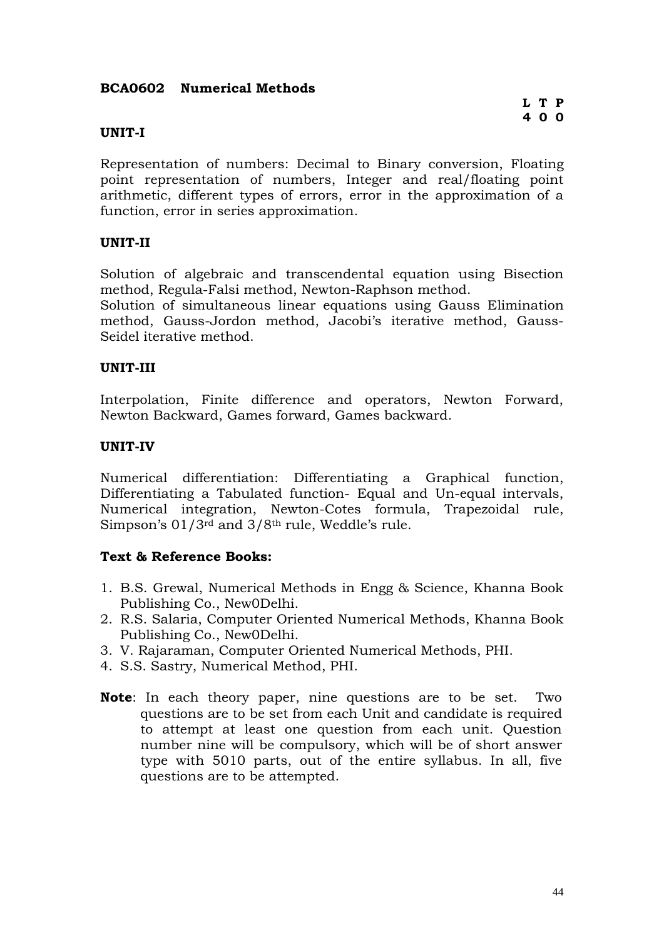### **BCA0602 Numerical Methods**

### **UNIT-I**

Representation of numbers: Decimal to Binary conversion, Floating point representation of numbers, Integer and real/floating point arithmetic, different types of errors, error in the approximation of a function, error in series approximation.

### **UNIT-II**

Solution of algebraic and transcendental equation using Bisection method, Regula-Falsi method, Newton-Raphson method.

Solution of simultaneous linear equations using Gauss Elimination method, Gauss-Jordon method, Jacobi's iterative method, Gauss-Seidel iterative method.

### **UNIT-III**

Interpolation, Finite difference and operators, Newton Forward, Newton Backward, Games forward, Games backward.

### **UNIT-IV**

Numerical differentiation: Differentiating a Graphical function, Differentiating a Tabulated function- Equal and Un-equal intervals, Numerical integration, Newton-Cotes formula, Trapezoidal rule, Simpson's 01/3rd and 3/8th rule, Weddle's rule.

- 1. B.S. Grewal, Numerical Methods in Engg & Science, Khanna Book Publishing Co., New0Delhi.
- 2. R.S. Salaria, Computer Oriented Numerical Methods, Khanna Book Publishing Co., New0Delhi.
- 3. V. Rajaraman, Computer Oriented Numerical Methods, PHI.
- 4. S.S. Sastry, Numerical Method, PHI.
- **Note**: In each theory paper, nine questions are to be set. Two questions are to be set from each Unit and candidate is required to attempt at least one question from each unit. Question number nine will be compulsory, which will be of short answer type with 5010 parts, out of the entire syllabus. In all, five questions are to be attempted.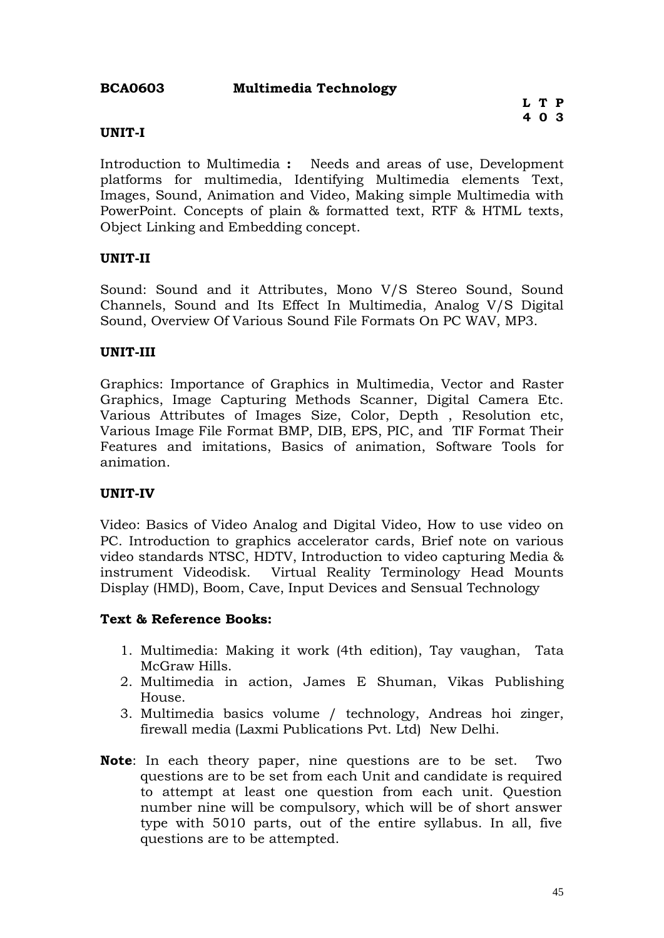### **BCA0603 Multimedia Technology**

### **UNIT-I**

Introduction to Multimedia **:** Needs and areas of use, Development platforms for multimedia, Identifying Multimedia elements Text, Images, Sound, Animation and Video, Making simple Multimedia with PowerPoint. Concepts of plain & formatted text, RTF & HTML texts, Object Linking and Embedding concept.

### **UNIT-II**

Sound: Sound and it Attributes, Mono V/S Stereo Sound, Sound Channels, Sound and Its Effect In Multimedia, Analog V/S Digital Sound, Overview Of Various Sound File Formats On PC WAV, MP3.

### **UNIT-III**

Graphics: Importance of Graphics in Multimedia, Vector and Raster Graphics, Image Capturing Methods Scanner, Digital Camera Etc. Various Attributes of Images Size, Color, Depth , Resolution etc, Various Image File Format BMP, DIB, EPS, PIC, and TIF Format Their Features and imitations, Basics of animation, Software Tools for animation.

### **UNIT-IV**

Video: Basics of Video Analog and Digital Video, How to use video on PC. Introduction to graphics accelerator cards, Brief note on various video standards NTSC, HDTV, Introduction to video capturing Media & instrument Videodisk. Virtual Reality Terminology Head Mounts Display (HMD), Boom, Cave, Input Devices and Sensual Technology

- 1. Multimedia: Making it work (4th edition), Tay vaughan, Tata McGraw Hills.
- 2. Multimedia in action, James E Shuman, Vikas Publishing House.
- 3. Multimedia basics volume / technology, Andreas hoi zinger, firewall media (Laxmi Publications Pvt. Ltd) New Delhi.
- **Note**: In each theory paper, nine questions are to be set. Two questions are to be set from each Unit and candidate is required to attempt at least one question from each unit. Question number nine will be compulsory, which will be of short answer type with 5010 parts, out of the entire syllabus. In all, five questions are to be attempted.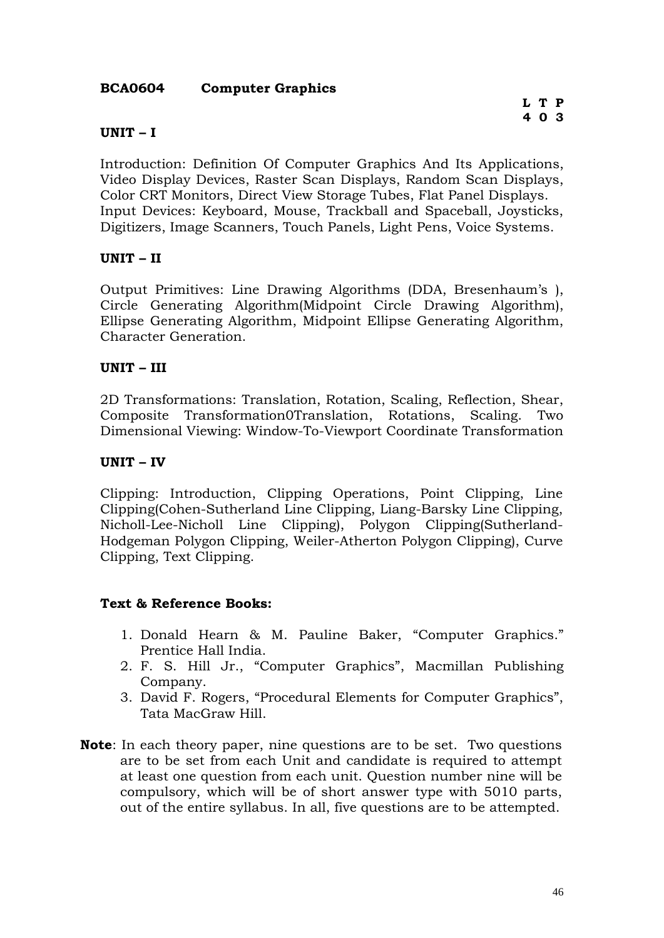### **BCA0604 Computer Graphics**

### **UNIT – I**

Introduction: Definition Of Computer Graphics And Its Applications, Video Display Devices, Raster Scan Displays, Random Scan Displays, Color CRT Monitors, Direct View Storage Tubes, Flat Panel Displays. Input Devices: Keyboard, Mouse, Trackball and Spaceball, Joysticks, Digitizers, Image Scanners, Touch Panels, Light Pens, Voice Systems.

### **UNIT – II**

Output Primitives: Line Drawing Algorithms (DDA, Bresenhaum's ), Circle Generating Algorithm(Midpoint Circle Drawing Algorithm), Ellipse Generating Algorithm, Midpoint Ellipse Generating Algorithm, Character Generation.

### **UNIT – III**

2D Transformations: Translation, Rotation, Scaling, Reflection, Shear, Composite Transformation0Translation, Rotations, Scaling. Two Dimensional Viewing: Window-To-Viewport Coordinate Transformation

### **UNIT – IV**

Clipping: Introduction, Clipping Operations, Point Clipping, Line Clipping(Cohen-Sutherland Line Clipping, Liang-Barsky Line Clipping, Nicholl-Lee-Nicholl Line Clipping), Polygon Clipping(Sutherland-Hodgeman Polygon Clipping, Weiler-Atherton Polygon Clipping), Curve Clipping, Text Clipping.

- 1. Donald Hearn & M. Pauline Baker, "Computer Graphics." Prentice Hall India.
- 2. F. S. Hill Jr., "Computer Graphics", Macmillan Publishing Company.
- 3. David F. Rogers, "Procedural Elements for Computer Graphics", Tata MacGraw Hill.
- **Note**: In each theory paper, nine questions are to be set. Two questions are to be set from each Unit and candidate is required to attempt at least one question from each unit. Question number nine will be compulsory, which will be of short answer type with 5010 parts, out of the entire syllabus. In all, five questions are to be attempted.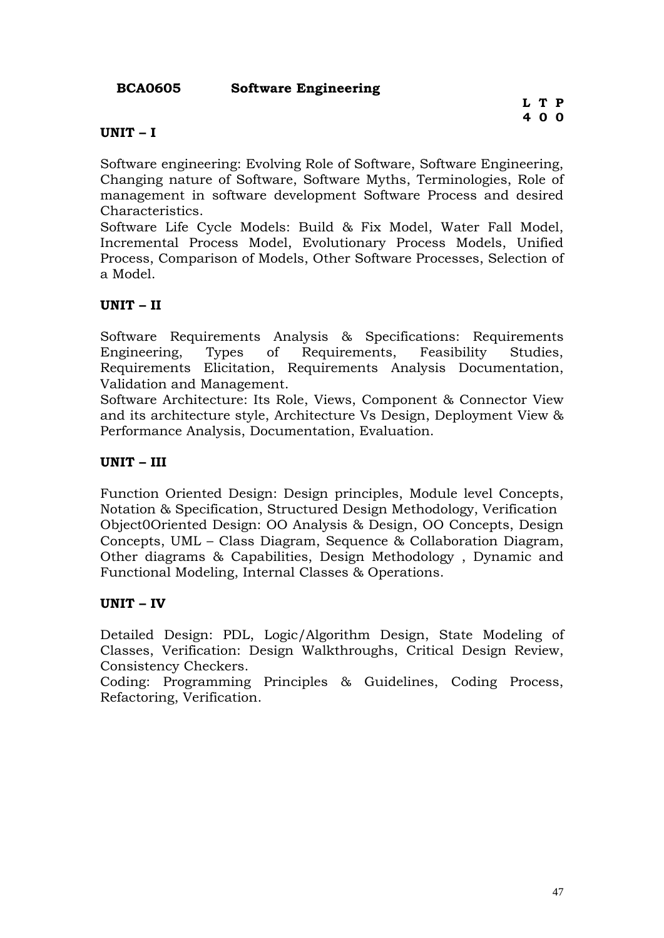**BCA0605 Software Engineering**

### **UNIT – I**

Software engineering: Evolving Role of Software, Software Engineering, Changing nature of Software, Software Myths, Terminologies, Role of management in software development Software Process and desired Characteristics.

Software Life Cycle Models: Build & Fix Model, Water Fall Model, Incremental Process Model, Evolutionary Process Models, Unified Process, Comparison of Models, Other Software Processes, Selection of a Model.

### **UNIT – II**

Software Requirements Analysis & Specifications: Requirements Engineering, Types of Requirements, Feasibility Studies, Requirements Elicitation, Requirements Analysis Documentation, Validation and Management.

Software Architecture: Its Role, Views, Component & Connector View and its architecture style, Architecture Vs Design, Deployment View & Performance Analysis, Documentation, Evaluation.

### **UNIT – III**

Function Oriented Design: Design principles, Module level Concepts, Notation & Specification, Structured Design Methodology, Verification Object0Oriented Design: OO Analysis & Design, OO Concepts, Design Concepts, UML – Class Diagram, Sequence & Collaboration Diagram, Other diagrams & Capabilities, Design Methodology , Dynamic and Functional Modeling, Internal Classes & Operations.

### **UNIT – IV**

Detailed Design: PDL, Logic/Algorithm Design, State Modeling of Classes, Verification: Design Walkthroughs, Critical Design Review, Consistency Checkers.

Coding: Programming Principles & Guidelines, Coding Process, Refactoring, Verification.